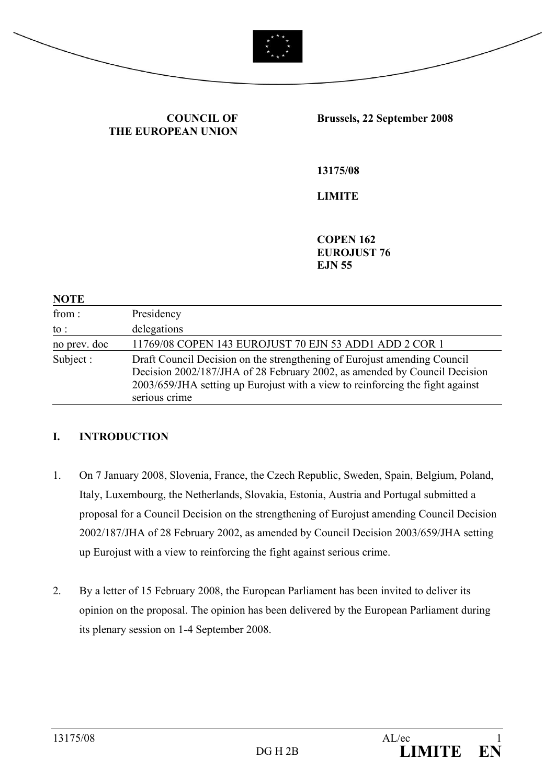

**COUNCIL OF THE EUROPEAN UNION**

#### **Brussels, 22 September 2008**

**13175/08** 

**LIMITE** 

**COPEN 162 EUROJUST 76 EJN 55** 

#### **NOTE**

| from:        | Presidency                                                                                                                                                                                                                                              |
|--------------|---------------------------------------------------------------------------------------------------------------------------------------------------------------------------------------------------------------------------------------------------------|
| to :         | delegations                                                                                                                                                                                                                                             |
| no prev. doc | 11769/08 COPEN 143 EUROJUST 70 EJN 53 ADD1 ADD 2 COR 1                                                                                                                                                                                                  |
| Subject:     | Draft Council Decision on the strengthening of Eurojust amending Council<br>Decision 2002/187/JHA of 28 February 2002, as amended by Council Decision<br>2003/659/JHA setting up Eurojust with a view to reinforcing the fight against<br>serious crime |

#### **I. INTRODUCTION**

- 1. On 7 January 2008, Slovenia, France, the Czech Republic, Sweden, Spain, Belgium, Poland, Italy, Luxembourg, the Netherlands, Slovakia, Estonia, Austria and Portugal submitted a proposal for a Council Decision on the strengthening of Eurojust amending Council Decision 2002/187/JHA of 28 February 2002, as amended by Council Decision 2003/659/JHA setting up Eurojust with a view to reinforcing the fight against serious crime.
- 2. By a letter of 15 February 2008, the European Parliament has been invited to deliver its opinion on the proposal. The opinion has been delivered by the European Parliament during its plenary session on 1-4 September 2008.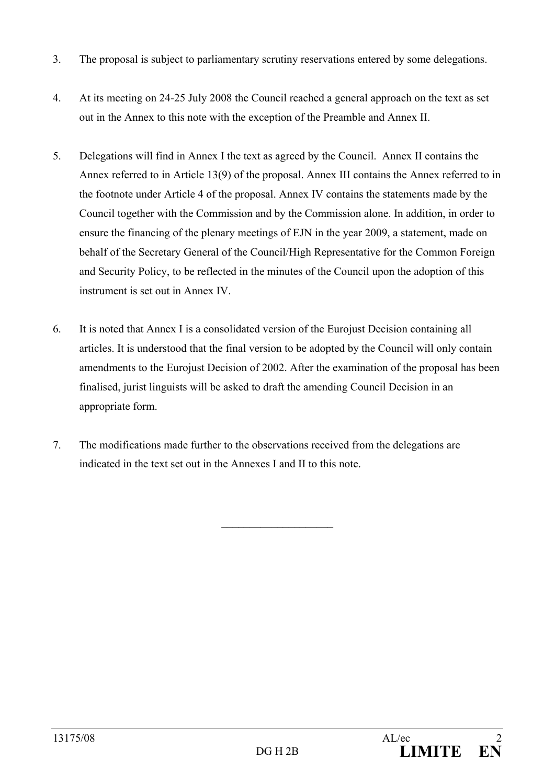- 3. The proposal is subject to parliamentary scrutiny reservations entered by some delegations.
- 4. At its meeting on 24-25 July 2008 the Council reached a general approach on the text as set out in the Annex to this note with the exception of the Preamble and Annex II.
- 5. Delegations will find in Annex I the text as agreed by the Council. Annex II contains the Annex referred to in Article 13(9) of the proposal. Annex III contains the Annex referred to in the footnote under Article 4 of the proposal. Annex IV contains the statements made by the Council together with the Commission and by the Commission alone. In addition, in order to ensure the financing of the plenary meetings of EJN in the year 2009, a statement, made on behalf of the Secretary General of the Council/High Representative for the Common Foreign and Security Policy, to be reflected in the minutes of the Council upon the adoption of this instrument is set out in Annex IV.
- 6. It is noted that Annex I is a consolidated version of the Eurojust Decision containing all articles. It is understood that the final version to be adopted by the Council will only contain amendments to the Eurojust Decision of 2002. After the examination of the proposal has been finalised, jurist linguists will be asked to draft the amending Council Decision in an appropriate form.

 $\mathcal{L}_\text{max}$ 

7. The modifications made further to the observations received from the delegations are indicated in the text set out in the Annexes I and II to this note.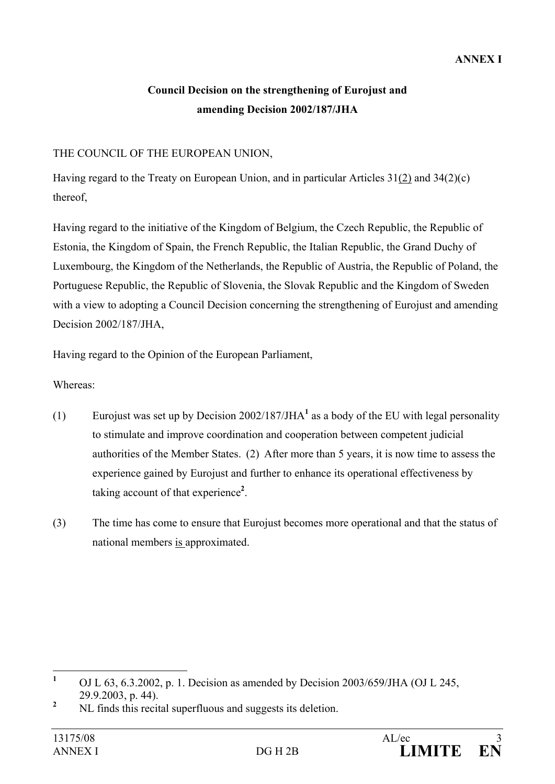# **Council Decision on the strengthening of Eurojust and amending Decision 2002/187/JHA**

## THE COUNCIL OF THE EUROPEAN UNION,

Having regard to the Treaty on European Union, and in particular Articles 31(2) and 34(2)(c) thereof,

Having regard to the initiative of the Kingdom of Belgium, the Czech Republic, the Republic of Estonia, the Kingdom of Spain, the French Republic, the Italian Republic, the Grand Duchy of Luxembourg, the Kingdom of the Netherlands, the Republic of Austria, the Republic of Poland, the Portuguese Republic, the Republic of Slovenia, the Slovak Republic and the Kingdom of Sweden with a view to adopting a Council Decision concerning the strengthening of Eurojust and amending Decision 2002/187/JHA,

Having regard to the Opinion of the European Parliament,

Whereas:

- (1) Eurojust was set up by Decision 2002/187/JHA<sup>1</sup> as a body of the EU with legal personality to stimulate and improve coordination and cooperation between competent judicial authorities of the Member States. (2) After more than 5 years, it is now time to assess the experience gained by Eurojust and further to enhance its operational effectiveness by taking account of that experience**<sup>2</sup>** .
- (3) The time has come to ensure that Eurojust becomes more operational and that the status of national members is approximated.

 **1** OJ L 63, 6.3.2002, p. 1. Decision as amended by Decision 2003/659/JHA (OJ L 245, 29.9.2003, p. 44).

**<sup>2</sup>** NL finds this recital superfluous and suggests its deletion.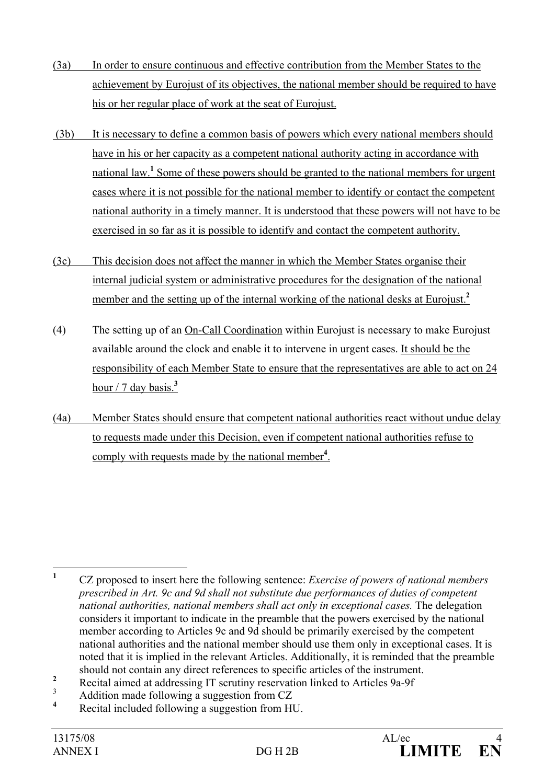- (3a) In order to ensure continuous and effective contribution from the Member States to the achievement by Eurojust of its objectives, the national member should be required to have his or her regular place of work at the seat of Eurojust.
- (3b) It is necessary to define a common basis of powers which every national members should have in his or her capacity as a competent national authority acting in accordance with national law.<sup>1</sup> Some of these powers should be granted to the national members for urgent cases where it is not possible for the national member to identify or contact the competent national authority in a timely manner. It is understood that these powers will not have to be exercised in so far as it is possible to identify and contact the competent authority.
- (3c) This decision does not affect the manner in which the Member States organise their internal judicial system or administrative procedures for the designation of the national member and the setting up of the internal working of the national desks at Eurojust.<sup>2</sup>
- (4) The setting up of an On-Call Coordination within Eurojust is necessary to make Eurojust available around the clock and enable it to intervene in urgent cases. It should be the responsibility of each Member State to ensure that the representatives are able to act on 24 hour  $/7$  day basis.<sup>3</sup>
- (4a) Member States should ensure that competent national authorities react without undue delay to requests made under this Decision, even if competent national authorities refuse to comply with requests made by the national member**<sup>4</sup>** .

- 3 Addition made following a suggestion from CZ
- **4** Recital included following a suggestion from HU.

 **1** CZ proposed to insert here the following sentence: *Exercise of powers of national members prescribed in Art. 9c and 9d shall not substitute due performances of duties of competent national authorities, national members shall act only in exceptional cases.* The delegation considers it important to indicate in the preamble that the powers exercised by the national member according to Articles 9c and 9d should be primarily exercised by the competent national authorities and the national member should use them only in exceptional cases. It is noted that it is implied in the relevant Articles. Additionally, it is reminded that the preamble should not contain any direct references to specific articles of the instrument.

**<sup>2</sup>** Recital aimed at addressing IT scrutiny reservation linked to Articles 9a-9f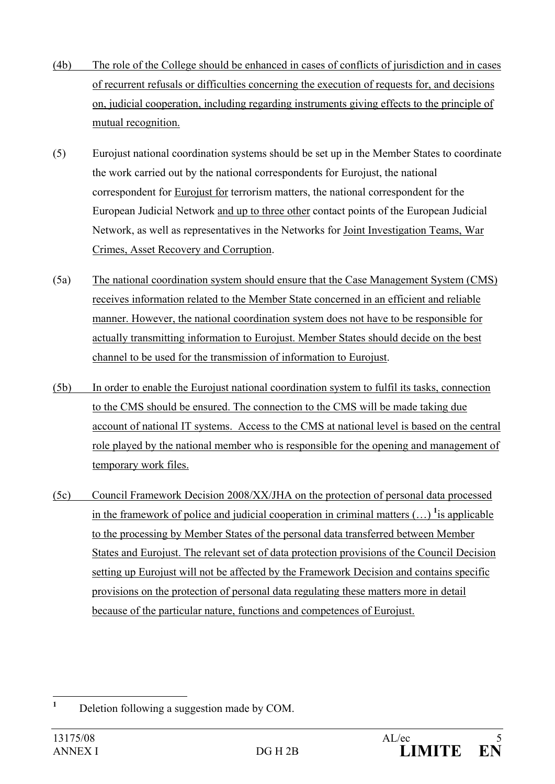- (4b) The role of the College should be enhanced in cases of conflicts of jurisdiction and in cases of recurrent refusals or difficulties concerning the execution of requests for, and decisions on, judicial cooperation, including regarding instruments giving effects to the principle of mutual recognition.
- (5) Eurojust national coordination systems should be set up in the Member States to coordinate the work carried out by the national correspondents for Eurojust, the national correspondent for Eurojust for terrorism matters, the national correspondent for the European Judicial Network and up to three other contact points of the European Judicial Network, as well as representatives in the Networks for Joint Investigation Teams, War Crimes, Asset Recovery and Corruption.
- (5a) The national coordination system should ensure that the Case Management System (CMS) receives information related to the Member State concerned in an efficient and reliable manner. However, the national coordination system does not have to be responsible for actually transmitting information to Eurojust. Member States should decide on the best channel to be used for the transmission of information to Eurojust.
- (5b) In order to enable the Eurojust national coordination system to fulfil its tasks, connection to the CMS should be ensured. The connection to the CMS will be made taking due account of national IT systems. Access to the CMS at national level is based on the central role played by the national member who is responsible for the opening and management of temporary work files.
- (5c) Council Framework Decision 2008/XX/JHA on the protection of personal data processed in the framework of police and judicial cooperation in criminal matters  $(\ldots)$  <sup>1</sup> is applicable to the processing by Member States of the personal data transferred between Member States and Eurojust. The relevant set of data protection provisions of the Council Decision setting up Eurojust will not be affected by the Framework Decision and contains specific provisions on the protection of personal data regulating these matters more in detail because of the particular nature, functions and competences of Eurojust.

 **1** Deletion following a suggestion made by COM.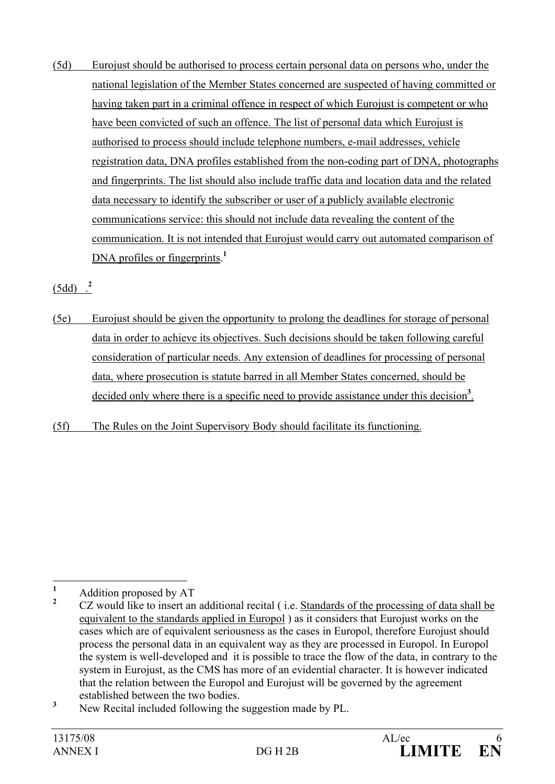(5d) Eurojust should be authorised to process certain personal data on persons who, under the national legislation of the Member States concerned are suspected of having committed or having taken part in a criminal offence in respect of which Eurojust is competent or who have been convicted of such an offence. The list of personal data which Eurojust is authorised to process should include telephone numbers, e-mail addresses, vehicle registration data, DNA profiles established from the non-coding part of DNA, photographs and fingerprints. The list should also include traffic data and location data and the related data necessary to identify the subscriber or user of a publicly available electronic communications service: this should not include data revealing the content of the communication. It is not intended that Eurojust would carry out automated comparison of DNA profiles or fingerprints.<sup>1</sup>

(5dd) .**<sup>2</sup>**

- (5e) Eurojust should be given the opportunity to prolong the deadlines for storage of personal data in order to achieve its objectives. Such decisions should be taken following careful consideration of particular needs. Any extension of deadlines for processing of personal data, where prosecution is statute barred in all Member States concerned, should be decided only where there is a specific need to provide assistance under this decision<sup>3</sup>.
- (5f) The Rules on the Joint Supervisory Body should facilitate its functioning.

 **1** Addition proposed by AT

**<sup>2</sup>** CZ would like to insert an additional recital ( i.e. Standards of the processing of data shall be equivalent to the standards applied in Europol ) as it considers that Eurojust works on the cases which are of equivalent seriousness as the cases in Europol, therefore Eurojust should process the personal data in an equivalent way as they are processed in Europol. In Europol the system is well-developed and it is possible to trace the flow of the data, in contrary to the system in Eurojust, as the CMS has more of an evidential character. It is however indicated that the relation between the Europol and Eurojust will be governed by the agreement established between the two bodies.

**<sup>3</sup>** New Recital included following the suggestion made by PL.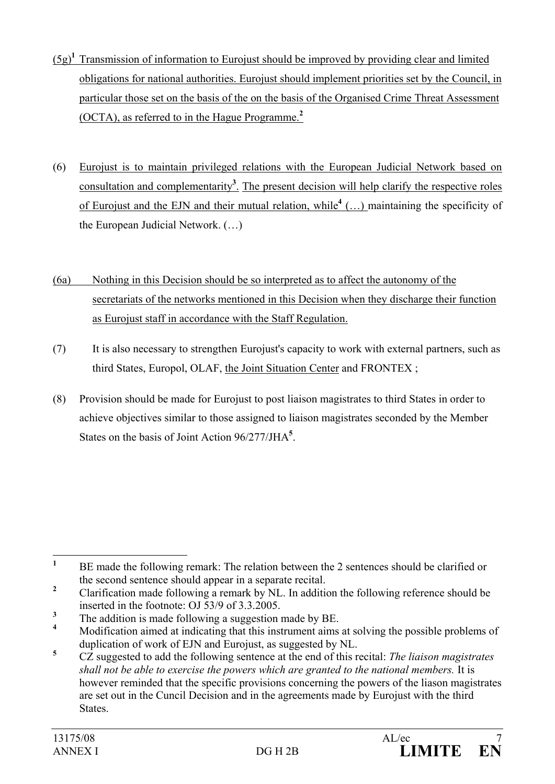- (5g)**<sup>1</sup>** Transmission of information to Eurojust should be improved by providing clear and limited obligations for national authorities. Eurojust should implement priorities set by the Council, in particular those set on the basis of the on the basis of the Organised Crime Threat Assessment (OCTA), as referred to in the Hague Programme.**<sup>2</sup>**
- (6) Eurojust is to maintain privileged relations with the European Judicial Network based on consultation and complementarity**<sup>3</sup>** . The present decision will help clarify the respective roles of Eurojust and the EJN and their mutual relation, while<sup>4</sup> (...) maintaining the specificity of the European Judicial Network. (…)
- (6a) Nothing in this Decision should be so interpreted as to affect the autonomy of the secretariats of the networks mentioned in this Decision when they discharge their function as Eurojust staff in accordance with the Staff Regulation.
- (7) It is also necessary to strengthen Eurojust's capacity to work with external partners, such as third States, Europol, OLAF, the Joint Situation Center and FRONTEX ;
- (8) Provision should be made for Eurojust to post liaison magistrates to third States in order to achieve objectives similar to those assigned to liaison magistrates seconded by the Member States on the basis of Joint Action 96/277/JHA**<sup>5</sup>** .

 **1** BE made the following remark: The relation between the 2 sentences should be clarified or the second sentence should appear in a separate recital.

**<sup>2</sup>** Clarification made following a remark by NL. In addition the following reference should be inserted in the footnote: OJ 53/9 of 3.3.2005.

**<sup>3</sup>** The addition is made following a suggestion made by BE.

**<sup>4</sup>** Modification aimed at indicating that this instrument aims at solving the possible problems of duplication of work of EJN and Eurojust, as suggested by NL.

**<sup>5</sup>** CZ suggested to add the following sentence at the end of this recital: *The liaison magistrates shall not be able to exercise the powers which are granted to the national members.* It is however reminded that the specific provisions concerning the powers of the liason magistrates are set out in the Cuncil Decision and in the agreements made by Eurojust with the third States.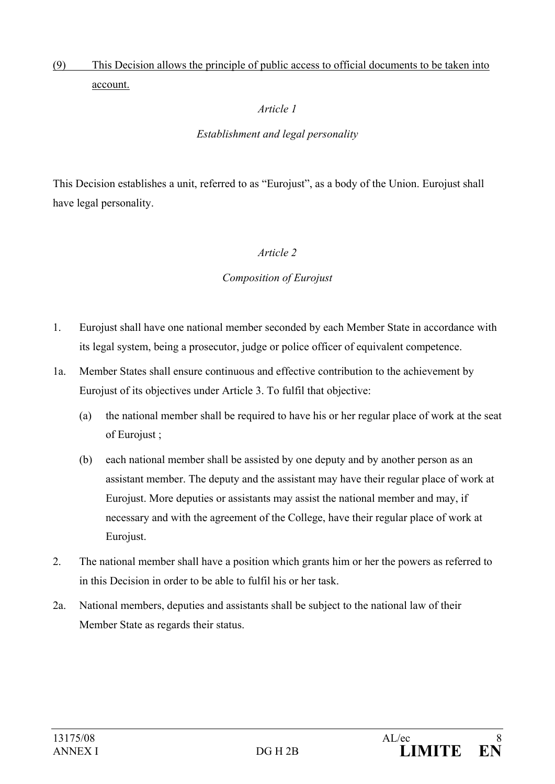# (9) This Decision allows the principle of public access to official documents to be taken into account.

## *Article 1*

## *Establishment and legal personality*

This Decision establishes a unit, referred to as "Eurojust", as a body of the Union. Eurojust shall have legal personality.

#### *Article 2*

#### *Composition of Eurojust*

- 1. Eurojust shall have one national member seconded by each Member State in accordance with its legal system, being a prosecutor, judge or police officer of equivalent competence.
- 1a. Member States shall ensure continuous and effective contribution to the achievement by Eurojust of its objectives under Article 3. To fulfil that objective:
	- (a) the national member shall be required to have his or her regular place of work at the seat of Eurojust ;
	- (b) each national member shall be assisted by one deputy and by another person as an assistant member. The deputy and the assistant may have their regular place of work at Eurojust. More deputies or assistants may assist the national member and may, if necessary and with the agreement of the College, have their regular place of work at Eurojust.
- 2. The national member shall have a position which grants him or her the powers as referred to in this Decision in order to be able to fulfil his or her task.
- 2a. National members, deputies and assistants shall be subject to the national law of their Member State as regards their status.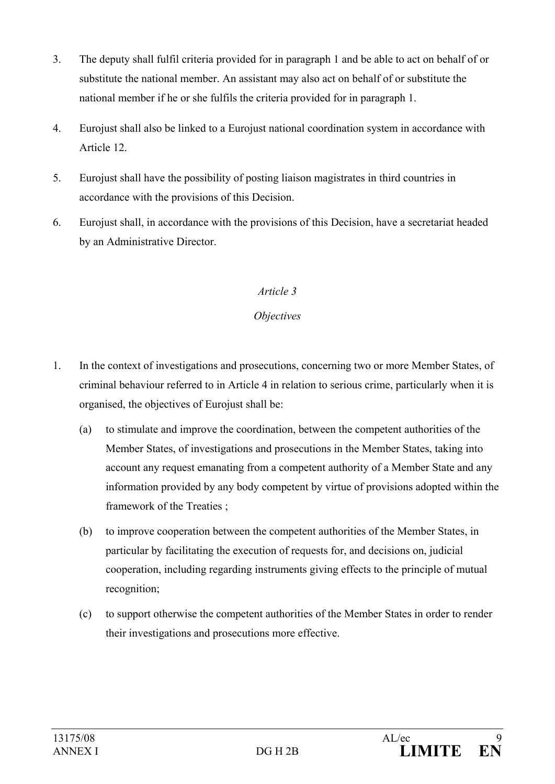- 3. The deputy shall fulfil criteria provided for in paragraph 1 and be able to act on behalf of or substitute the national member. An assistant may also act on behalf of or substitute the national member if he or she fulfils the criteria provided for in paragraph 1.
- 4. Eurojust shall also be linked to a Eurojust national coordination system in accordance with Article 12.
- 5. Eurojust shall have the possibility of posting liaison magistrates in third countries in accordance with the provisions of this Decision.
- 6. Eurojust shall, in accordance with the provisions of this Decision, have a secretariat headed by an Administrative Director.

## *Objectives*

- 1. In the context of investigations and prosecutions, concerning two or more Member States, of criminal behaviour referred to in Article 4 in relation to serious crime, particularly when it is organised, the objectives of Eurojust shall be:
	- (a) to stimulate and improve the coordination, between the competent authorities of the Member States, of investigations and prosecutions in the Member States, taking into account any request emanating from a competent authority of a Member State and any information provided by any body competent by virtue of provisions adopted within the framework of the Treaties ;
	- (b) to improve cooperation between the competent authorities of the Member States, in particular by facilitating the execution of requests for, and decisions on, judicial cooperation, including regarding instruments giving effects to the principle of mutual recognition;
	- (c) to support otherwise the competent authorities of the Member States in order to render their investigations and prosecutions more effective.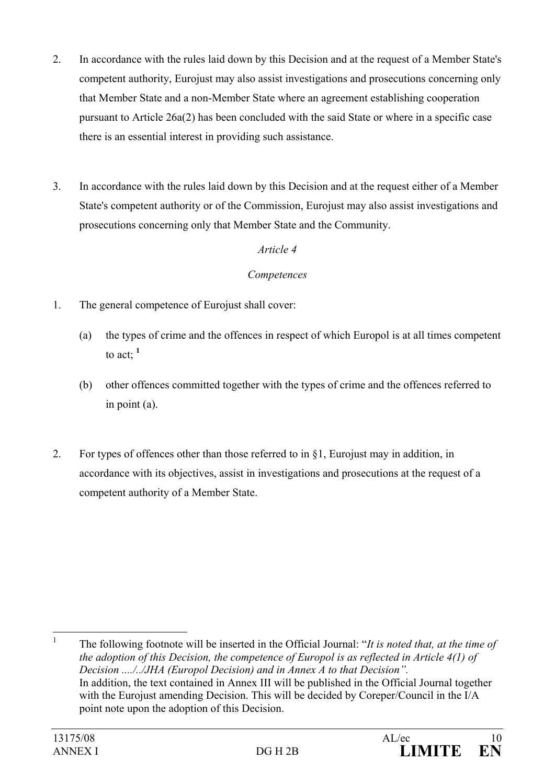- 2. In accordance with the rules laid down by this Decision and at the request of a Member State's competent authority, Eurojust may also assist investigations and prosecutions concerning only that Member State and a non-Member State where an agreement establishing cooperation pursuant to Article 26a(2) has been concluded with the said State or where in a specific case there is an essential interest in providing such assistance.
- 3. In accordance with the rules laid down by this Decision and at the request either of a Member State's competent authority or of the Commission, Eurojust may also assist investigations and prosecutions concerning only that Member State and the Community.

#### *Competences*

- 1. The general competence of Eurojust shall cover:
	- (a) the types of crime and the offences in respect of which Europol is at all times competent to act:  $1$
	- (b) other offences committed together with the types of crime and the offences referred to in point (a).
- 2. For types of offences other than those referred to in §1, Eurojust may in addition, in accordance with its objectives, assist in investigations and prosecutions at the request of a competent authority of a Member State.

 $\frac{1}{1}$  The following footnote will be inserted in the Official Journal: "*It is noted that, at the time of the adoption of this Decision, the competence of Europol is as reflected in Article 4(1) of Decision ..../../JHA (Europol Decision) and in Annex A to that Decision".*  In addition, the text contained in Annex III will be published in the Official Journal together with the Eurojust amending Decision. This will be decided by Coreper/Council in the I/A point note upon the adoption of this Decision.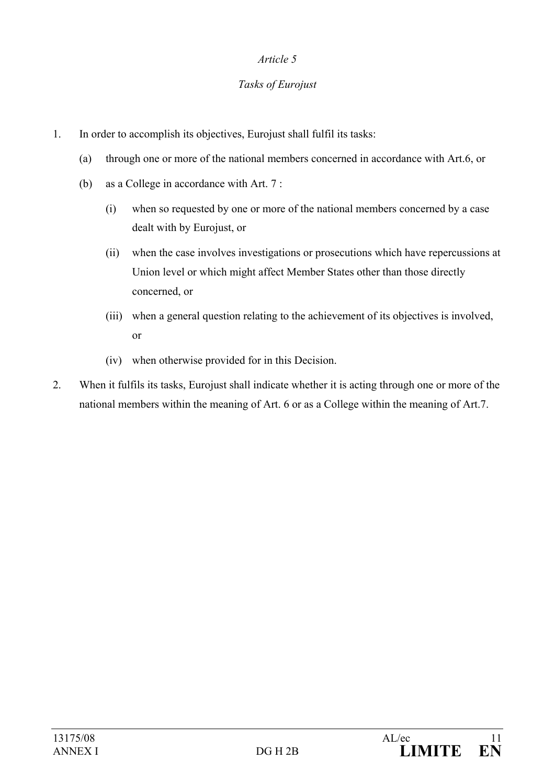### *Tasks of Eurojust*

- 1. In order to accomplish its objectives, Eurojust shall fulfil its tasks:
	- (a) through one or more of the national members concerned in accordance with Art.6, or
	- (b) as a College in accordance with Art. 7 :
		- (i) when so requested by one or more of the national members concerned by a case dealt with by Eurojust, or
		- (ii) when the case involves investigations or prosecutions which have repercussions at Union level or which might affect Member States other than those directly concerned, or
		- (iii) when a general question relating to the achievement of its objectives is involved, or
		- (iv) when otherwise provided for in this Decision.
- 2. When it fulfils its tasks, Eurojust shall indicate whether it is acting through one or more of the national members within the meaning of Art. 6 or as a College within the meaning of Art.7.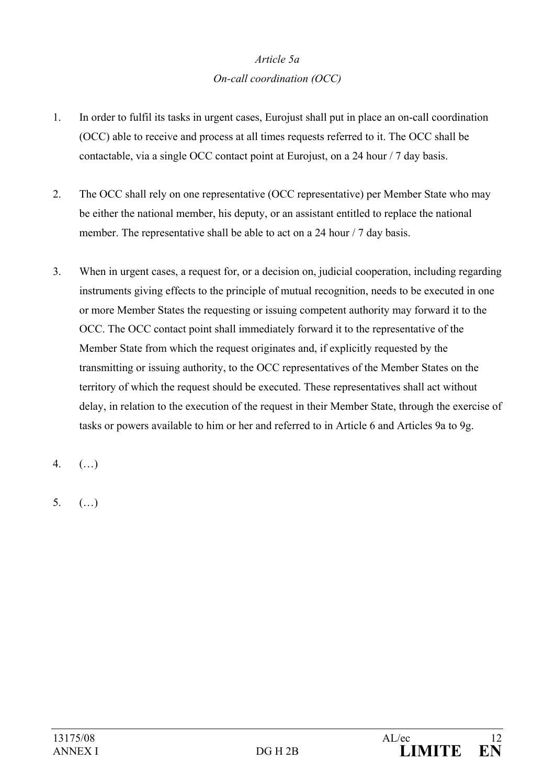# *Article 5a On-call coordination (OCC)*

- 1. In order to fulfil its tasks in urgent cases, Eurojust shall put in place an on-call coordination (OCC) able to receive and process at all times requests referred to it. The OCC shall be contactable, via a single OCC contact point at Eurojust, on a 24 hour / 7 day basis.
- 2. The OCC shall rely on one representative (OCC representative) per Member State who may be either the national member, his deputy, or an assistant entitled to replace the national member. The representative shall be able to act on a 24 hour / 7 day basis.
- 3. When in urgent cases, a request for, or a decision on, judicial cooperation, including regarding instruments giving effects to the principle of mutual recognition, needs to be executed in one or more Member States the requesting or issuing competent authority may forward it to the OCC. The OCC contact point shall immediately forward it to the representative of the Member State from which the request originates and, if explicitly requested by the transmitting or issuing authority, to the OCC representatives of the Member States on the territory of which the request should be executed. These representatives shall act without delay, in relation to the execution of the request in their Member State, through the exercise of tasks or powers available to him or her and referred to in Article 6 and Articles 9a to 9g.

4. (…)

 $5 ( )$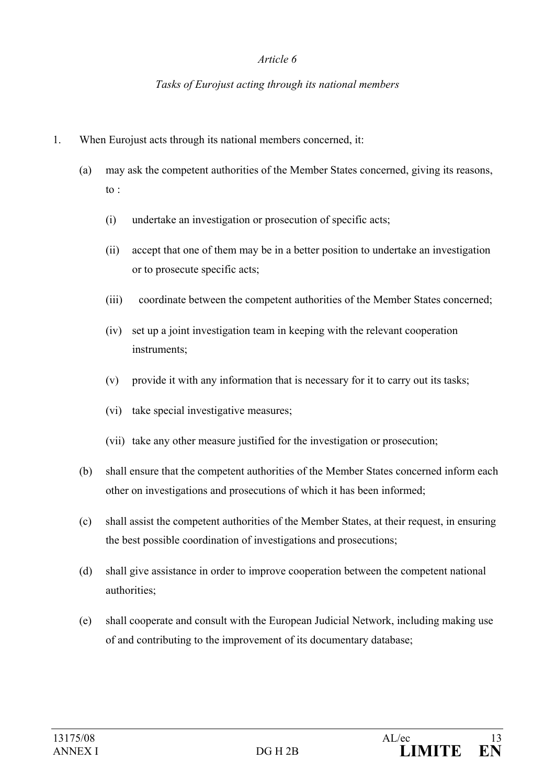#### *Tasks of Eurojust acting through its national members*

- 1. When Eurojust acts through its national members concerned, it:
	- (a) may ask the competent authorities of the Member States concerned, giving its reasons, to  $\cdot$ 
		- (i) undertake an investigation or prosecution of specific acts;
		- (ii) accept that one of them may be in a better position to undertake an investigation or to prosecute specific acts;
		- (iii) coordinate between the competent authorities of the Member States concerned;
		- (iv) set up a joint investigation team in keeping with the relevant cooperation instruments;
		- (v) provide it with any information that is necessary for it to carry out its tasks;
		- (vi) take special investigative measures;
		- (vii) take any other measure justified for the investigation or prosecution;
	- (b) shall ensure that the competent authorities of the Member States concerned inform each other on investigations and prosecutions of which it has been informed;
	- (c) shall assist the competent authorities of the Member States, at their request, in ensuring the best possible coordination of investigations and prosecutions;
	- (d) shall give assistance in order to improve cooperation between the competent national authorities;
	- (e) shall cooperate and consult with the European Judicial Network, including making use of and contributing to the improvement of its documentary database;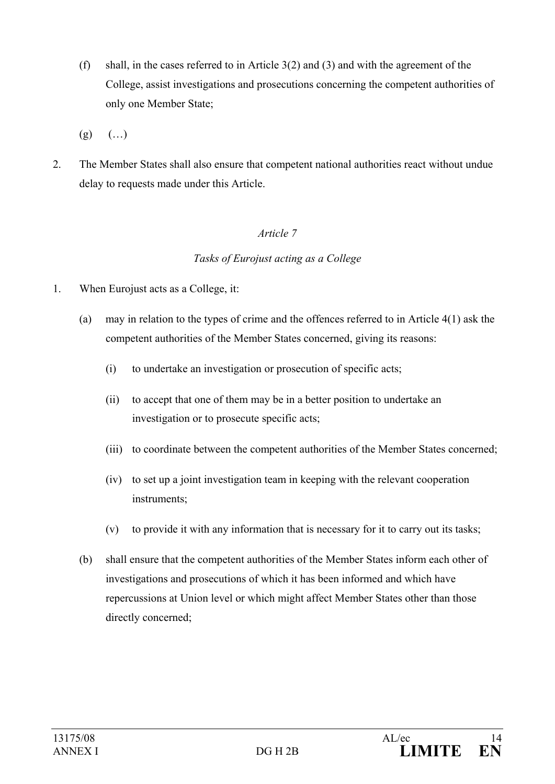- (f) shall, in the cases referred to in Article 3(2) and (3) and with the agreement of the College, assist investigations and prosecutions concerning the competent authorities of only one Member State;
- $(g)$   $(...)$
- 2. The Member States shall also ensure that competent national authorities react without undue delay to requests made under this Article.

#### *Tasks of Eurojust acting as a College*

- 1. When Eurojust acts as a College, it:
	- (a) may in relation to the types of crime and the offences referred to in Article 4(1) ask the competent authorities of the Member States concerned, giving its reasons:
		- (i) to undertake an investigation or prosecution of specific acts;
		- (ii) to accept that one of them may be in a better position to undertake an investigation or to prosecute specific acts;
		- (iii) to coordinate between the competent authorities of the Member States concerned;
		- (iv) to set up a joint investigation team in keeping with the relevant cooperation instruments;
		- (v) to provide it with any information that is necessary for it to carry out its tasks;
	- (b) shall ensure that the competent authorities of the Member States inform each other of investigations and prosecutions of which it has been informed and which have repercussions at Union level or which might affect Member States other than those directly concerned;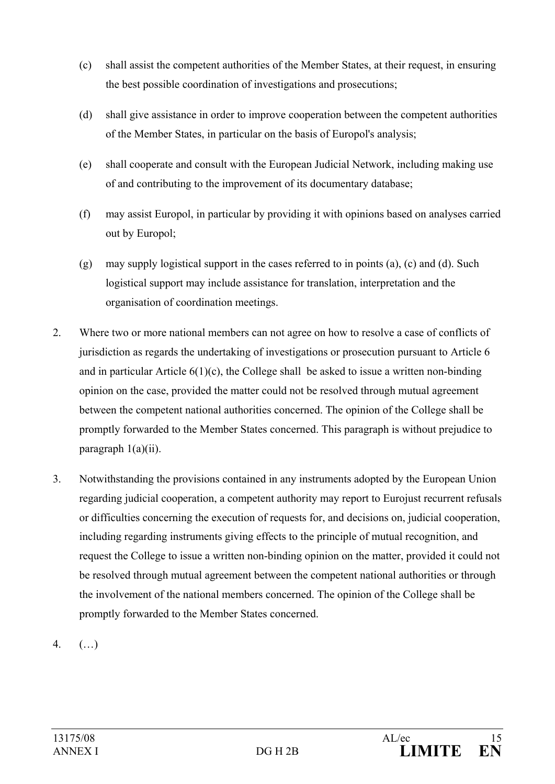- (c) shall assist the competent authorities of the Member States, at their request, in ensuring the best possible coordination of investigations and prosecutions;
- (d) shall give assistance in order to improve cooperation between the competent authorities of the Member States, in particular on the basis of Europol's analysis;
- (e) shall cooperate and consult with the European Judicial Network, including making use of and contributing to the improvement of its documentary database;
- (f) may assist Europol, in particular by providing it with opinions based on analyses carried out by Europol;
- (g) may supply logistical support in the cases referred to in points (a), (c) and (d). Such logistical support may include assistance for translation, interpretation and the organisation of coordination meetings.
- 2. Where two or more national members can not agree on how to resolve a case of conflicts of jurisdiction as regards the undertaking of investigations or prosecution pursuant to Article 6 and in particular Article 6(1)(c), the College shall be asked to issue a written non-binding opinion on the case, provided the matter could not be resolved through mutual agreement between the competent national authorities concerned. The opinion of the College shall be promptly forwarded to the Member States concerned. This paragraph is without prejudice to paragraph 1(a)(ii).
- 3. Notwithstanding the provisions contained in any instruments adopted by the European Union regarding judicial cooperation, a competent authority may report to Eurojust recurrent refusals or difficulties concerning the execution of requests for, and decisions on, judicial cooperation, including regarding instruments giving effects to the principle of mutual recognition, and request the College to issue a written non-binding opinion on the matter, provided it could not be resolved through mutual agreement between the competent national authorities or through the involvement of the national members concerned. The opinion of the College shall be promptly forwarded to the Member States concerned.
- 4. (…)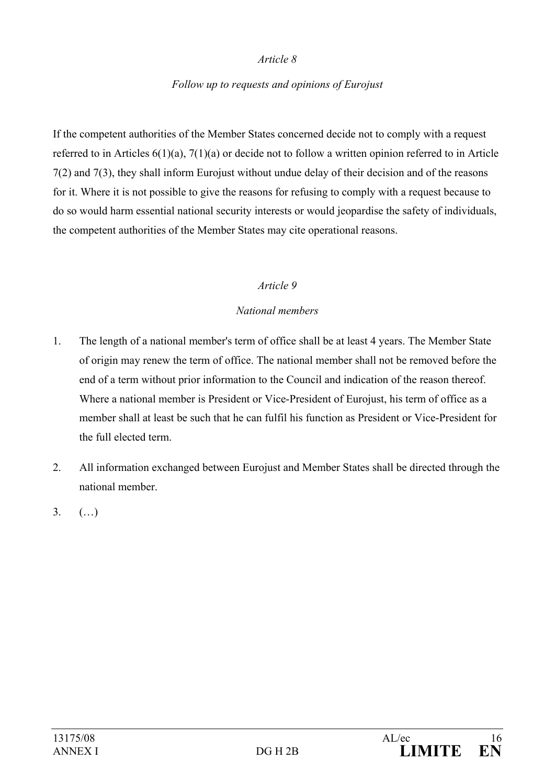#### *Follow up to requests and opinions of Eurojust*

If the competent authorities of the Member States concerned decide not to comply with a request referred to in Articles 6(1)(a), 7(1)(a) or decide not to follow a written opinion referred to in Article 7(2) and 7(3), they shall inform Eurojust without undue delay of their decision and of the reasons for it. Where it is not possible to give the reasons for refusing to comply with a request because to do so would harm essential national security interests or would jeopardise the safety of individuals, the competent authorities of the Member States may cite operational reasons.

#### *Article 9*

#### *National members*

- 1. The length of a national member's term of office shall be at least 4 years. The Member State of origin may renew the term of office. The national member shall not be removed before the end of a term without prior information to the Council and indication of the reason thereof. Where a national member is President or Vice-President of Eurojust, his term of office as a member shall at least be such that he can fulfil his function as President or Vice-President for the full elected term.
- 2. All information exchanged between Eurojust and Member States shall be directed through the national member.
- 3. (…)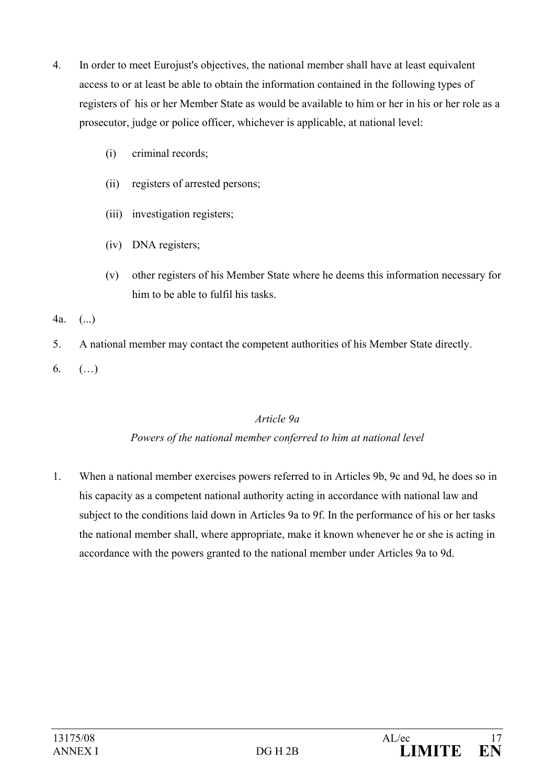- 4. In order to meet Eurojust's objectives, the national member shall have at least equivalent access to or at least be able to obtain the information contained in the following types of registers of his or her Member State as would be available to him or her in his or her role as a prosecutor, judge or police officer, whichever is applicable, at national level:
	- (i) criminal records;
	- (ii) registers of arrested persons;
	- (iii) investigation registers;
	- (iv) DNA registers;
	- (v) other registers of his Member State where he deems this information necessary for him to be able to fulfil his tasks.
- 4a. (...)
- 5. A national member may contact the competent authorities of his Member State directly.
- 6.  $(...)$

#### *Article 9a*

#### *Powers of the national member conferred to him at national level*

1. When a national member exercises powers referred to in Articles 9b, 9c and 9d, he does so in his capacity as a competent national authority acting in accordance with national law and subject to the conditions laid down in Articles 9a to 9f. In the performance of his or her tasks the national member shall, where appropriate, make it known whenever he or she is acting in accordance with the powers granted to the national member under Articles 9a to 9d.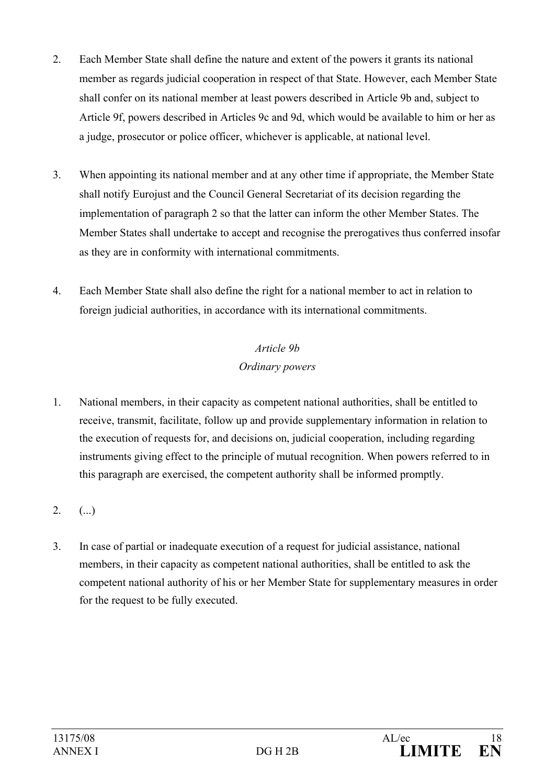- 2. Each Member State shall define the nature and extent of the powers it grants its national member as regards judicial cooperation in respect of that State. However, each Member State shall confer on its national member at least powers described in Article 9b and, subject to Article 9f, powers described in Articles 9c and 9d, which would be available to him or her as a judge, prosecutor or police officer, whichever is applicable, at national level.
- 3. When appointing its national member and at any other time if appropriate, the Member State shall notify Eurojust and the Council General Secretariat of its decision regarding the implementation of paragraph 2 so that the latter can inform the other Member States. The Member States shall undertake to accept and recognise the prerogatives thus conferred insofar as they are in conformity with international commitments.
- 4. Each Member State shall also define the right for a national member to act in relation to foreign judicial authorities, in accordance with its international commitments.

# *Article 9b Ordinary powers*

- 1. National members, in their capacity as competent national authorities, shall be entitled to receive, transmit, facilitate, follow up and provide supplementary information in relation to the execution of requests for, and decisions on, judicial cooperation, including regarding instruments giving effect to the principle of mutual recognition. When powers referred to in this paragraph are exercised, the competent authority shall be informed promptly.
- $2.$  (...)
- 3. In case of partial or inadequate execution of a request for judicial assistance, national members, in their capacity as competent national authorities, shall be entitled to ask the competent national authority of his or her Member State for supplementary measures in order for the request to be fully executed.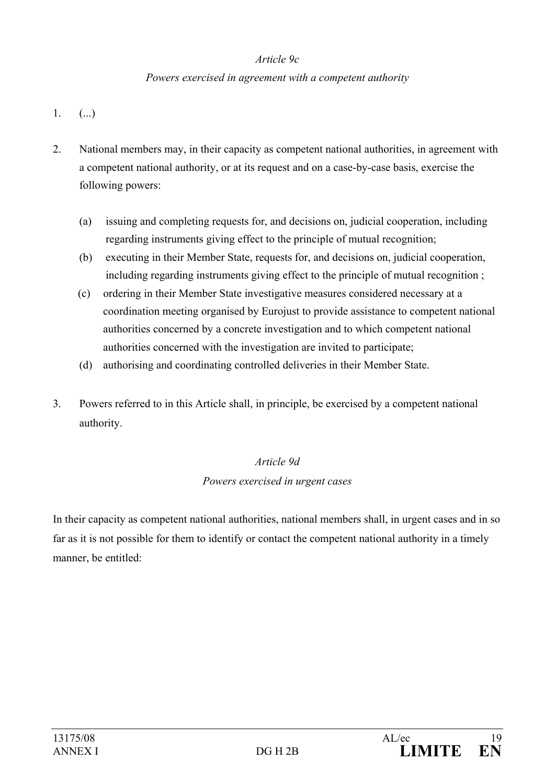### *Article 9c*

### *Powers exercised in agreement with a competent authority*

- $1.$  (...)
- 2. National members may, in their capacity as competent national authorities, in agreement with a competent national authority, or at its request and on a case-by-case basis, exercise the following powers:
	- (a) issuing and completing requests for, and decisions on, judicial cooperation, including regarding instruments giving effect to the principle of mutual recognition;
	- (b) executing in their Member State, requests for, and decisions on, judicial cooperation, including regarding instruments giving effect to the principle of mutual recognition ;
	- (c) ordering in their Member State investigative measures considered necessary at a coordination meeting organised by Eurojust to provide assistance to competent national authorities concerned by a concrete investigation and to which competent national authorities concerned with the investigation are invited to participate;
	- (d) authorising and coordinating controlled deliveries in their Member State.
- 3. Powers referred to in this Article shall, in principle, be exercised by a competent national authority.

## *Article 9d*

## *Powers exercised in urgent cases*

In their capacity as competent national authorities, national members shall, in urgent cases and in so far as it is not possible for them to identify or contact the competent national authority in a timely manner, be entitled: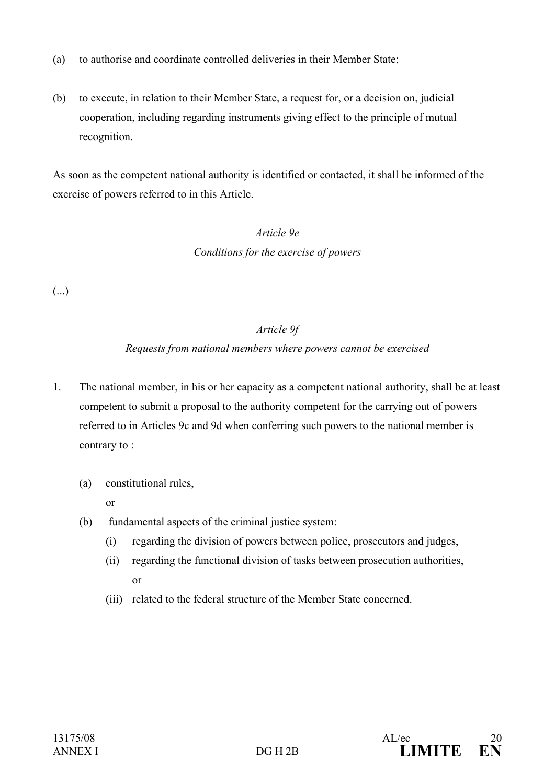- (a) to authorise and coordinate controlled deliveries in their Member State;
- (b) to execute, in relation to their Member State, a request for, or a decision on, judicial cooperation, including regarding instruments giving effect to the principle of mutual recognition.

As soon as the competent national authority is identified or contacted, it shall be informed of the exercise of powers referred to in this Article.

# *Article 9e Conditions for the exercise of powers*

(...)

## *Article 9f*

## *Requests from national members where powers cannot be exercised*

- 1. The national member, in his or her capacity as a competent national authority, shall be at least competent to submit a proposal to the authority competent for the carrying out of powers referred to in Articles 9c and 9d when conferring such powers to the national member is contrary to :
	- (a) constitutional rules,

or

- (b) fundamental aspects of the criminal justice system:
	- (i) regarding the division of powers between police, prosecutors and judges,
	- (ii) regarding the functional division of tasks between prosecution authorities, or
	- (iii) related to the federal structure of the Member State concerned.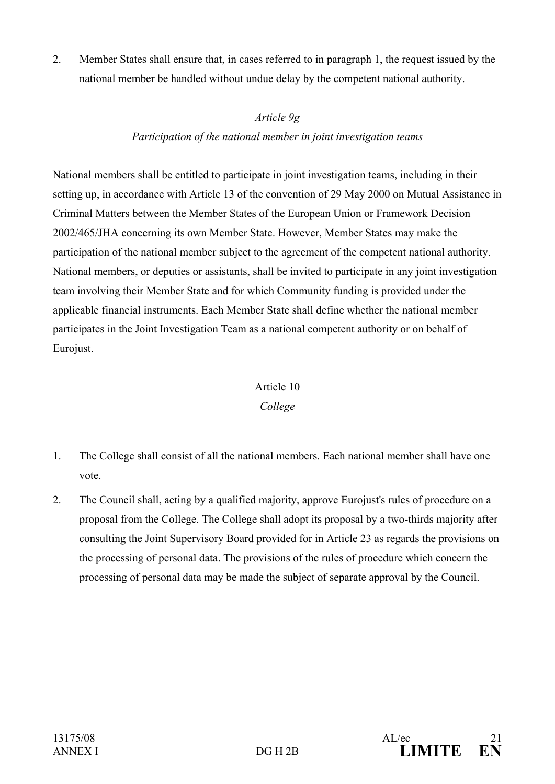2. Member States shall ensure that, in cases referred to in paragraph 1, the request issued by the national member be handled without undue delay by the competent national authority.

### *Article 9g*

## *Participation of the national member in joint investigation teams*

National members shall be entitled to participate in joint investigation teams, including in their setting up, in accordance with Article 13 of the convention of 29 May 2000 on Mutual Assistance in Criminal Matters between the Member States of the European Union or Framework Decision 2002/465/JHA concerning its own Member State. However, Member States may make the participation of the national member subject to the agreement of the competent national authority. National members, or deputies or assistants, shall be invited to participate in any joint investigation team involving their Member State and for which Community funding is provided under the applicable financial instruments. Each Member State shall define whether the national member participates in the Joint Investigation Team as a national competent authority or on behalf of Eurojust.

## Article 10

## *College*

- 1. The College shall consist of all the national members. Each national member shall have one vote.
- 2. The Council shall, acting by a qualified majority, approve Eurojust's rules of procedure on a proposal from the College. The College shall adopt its proposal by a two-thirds majority after consulting the Joint Supervisory Board provided for in Article 23 as regards the provisions on the processing of personal data. The provisions of the rules of procedure which concern the processing of personal data may be made the subject of separate approval by the Council.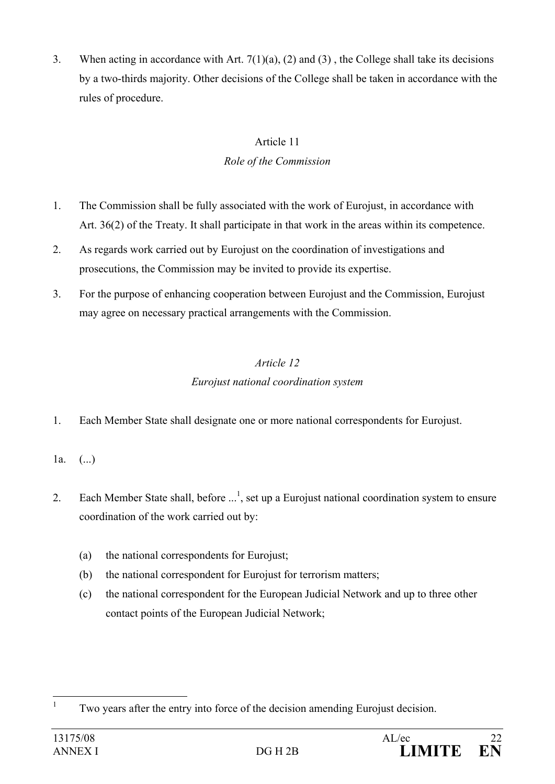3. When acting in accordance with Art. 7(1)(a), (2) and (3) , the College shall take its decisions by a two-thirds majority. Other decisions of the College shall be taken in accordance with the rules of procedure.

## Article 11 *Role of the Commission*

- 1. The Commission shall be fully associated with the work of Eurojust, in accordance with Art. 36(2) of the Treaty. It shall participate in that work in the areas within its competence.
- 2. As regards work carried out by Eurojust on the coordination of investigations and prosecutions, the Commission may be invited to provide its expertise.
- 3. For the purpose of enhancing cooperation between Eurojust and the Commission, Eurojust may agree on necessary practical arrangements with the Commission.

## *Article 12 Eurojust national coordination system*

- 1. Each Member State shall designate one or more national correspondents for Eurojust.
- 1a.  $(..)$
- 2. Each Member State shall, before  $\ldots$ <sup>1</sup>, set up a Eurojust national coordination system to ensure coordination of the work carried out by:
	- (a) the national correspondents for Eurojust;
	- (b) the national correspondent for Eurojust for terrorism matters;
	- (c) the national correspondent for the European Judicial Network and up to three other contact points of the European Judicial Network;

 $\frac{1}{1}$ Two years after the entry into force of the decision amending Eurojust decision.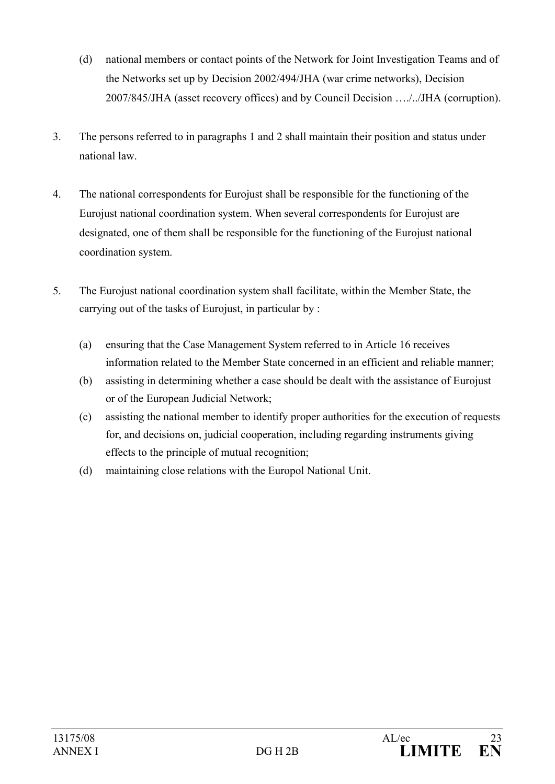- (d) national members or contact points of the Network for Joint Investigation Teams and of the Networks set up by Decision 2002/494/JHA (war crime networks), Decision 2007/845/JHA (asset recovery offices) and by Council Decision …./../JHA (corruption).
- 3. The persons referred to in paragraphs 1 and 2 shall maintain their position and status under national law.
- 4. The national correspondents for Eurojust shall be responsible for the functioning of the Eurojust national coordination system. When several correspondents for Eurojust are designated, one of them shall be responsible for the functioning of the Eurojust national coordination system.
- 5. The Eurojust national coordination system shall facilitate, within the Member State, the carrying out of the tasks of Eurojust, in particular by :
	- (a) ensuring that the Case Management System referred to in Article 16 receives information related to the Member State concerned in an efficient and reliable manner;
	- (b) assisting in determining whether a case should be dealt with the assistance of Eurojust or of the European Judicial Network;
	- (c) assisting the national member to identify proper authorities for the execution of requests for, and decisions on, judicial cooperation, including regarding instruments giving effects to the principle of mutual recognition;
	- (d) maintaining close relations with the Europol National Unit.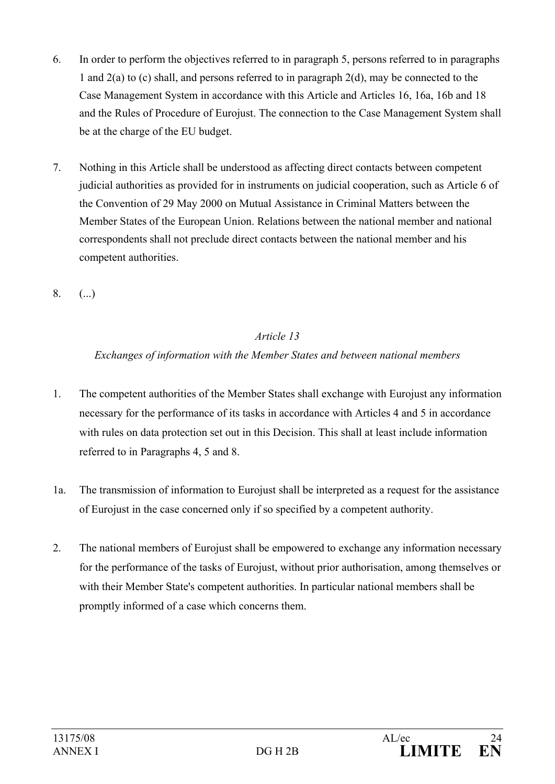- 6. In order to perform the objectives referred to in paragraph 5, persons referred to in paragraphs 1 and 2(a) to (c) shall, and persons referred to in paragraph 2(d), may be connected to the Case Management System in accordance with this Article and Articles 16, 16a, 16b and 18 and the Rules of Procedure of Eurojust. The connection to the Case Management System shall be at the charge of the EU budget.
- 7. Nothing in this Article shall be understood as affecting direct contacts between competent judicial authorities as provided for in instruments on judicial cooperation, such as Article 6 of the Convention of 29 May 2000 on Mutual Assistance in Criminal Matters between the Member States of the European Union. Relations between the national member and national correspondents shall not preclude direct contacts between the national member and his competent authorities.
- $8. (1)$

## *Exchanges of information with the Member States and between national members*

- 1. The competent authorities of the Member States shall exchange with Eurojust any information necessary for the performance of its tasks in accordance with Articles 4 and 5 in accordance with rules on data protection set out in this Decision. This shall at least include information referred to in Paragraphs 4, 5 and 8.
- 1a. The transmission of information to Eurojust shall be interpreted as a request for the assistance of Eurojust in the case concerned only if so specified by a competent authority.
- 2. The national members of Eurojust shall be empowered to exchange any information necessary for the performance of the tasks of Eurojust, without prior authorisation, among themselves or with their Member State's competent authorities. In particular national members shall be promptly informed of a case which concerns them.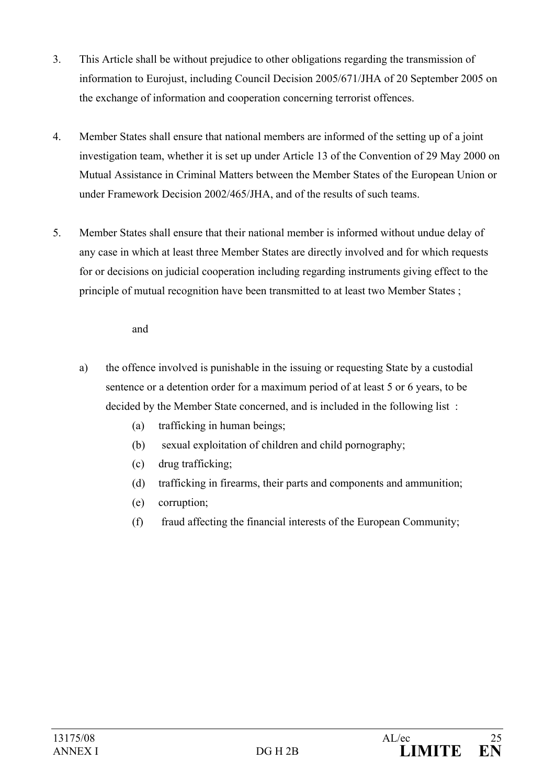- 3. This Article shall be without prejudice to other obligations regarding the transmission of information to Eurojust, including Council Decision 2005/671/JHA of 20 September 2005 on the exchange of information and cooperation concerning terrorist offences.
- 4. Member States shall ensure that national members are informed of the setting up of a joint investigation team, whether it is set up under Article 13 of the Convention of 29 May 2000 on Mutual Assistance in Criminal Matters between the Member States of the European Union or under Framework Decision 2002/465/JHA, and of the results of such teams.
- 5. Member States shall ensure that their national member is informed without undue delay of any case in which at least three Member States are directly involved and for which requests for or decisions on judicial cooperation including regarding instruments giving effect to the principle of mutual recognition have been transmitted to at least two Member States ;

#### and

- a) the offence involved is punishable in the issuing or requesting State by a custodial sentence or a detention order for a maximum period of at least 5 or 6 years, to be decided by the Member State concerned, and is included in the following list :
	- (a) trafficking in human beings;
	- (b) sexual exploitation of children and child pornography;
	- (c) drug trafficking;
	- (d) trafficking in firearms, their parts and components and ammunition;
	- (e) corruption;
	- (f) fraud affecting the financial interests of the European Community;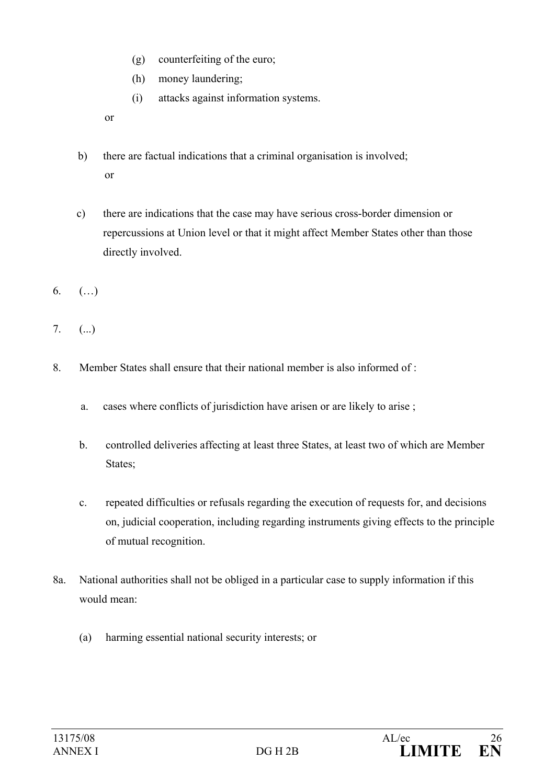- (g) counterfeiting of the euro;
- (h) money laundering;
- (i) attacks against information systems.

or

- b) there are factual indications that a criminal organisation is involved; or
- c) there are indications that the case may have serious cross-border dimension or repercussions at Union level or that it might affect Member States other than those directly involved.
- 6. (…)
- 7. (...)
- 8. Member States shall ensure that their national member is also informed of :
	- a. cases where conflicts of jurisdiction have arisen or are likely to arise ;
	- b. controlled deliveries affecting at least three States, at least two of which are Member States;
	- c. repeated difficulties or refusals regarding the execution of requests for, and decisions on, judicial cooperation, including regarding instruments giving effects to the principle of mutual recognition.
- 8a. National authorities shall not be obliged in a particular case to supply information if this would mean:
	- (a) harming essential national security interests; or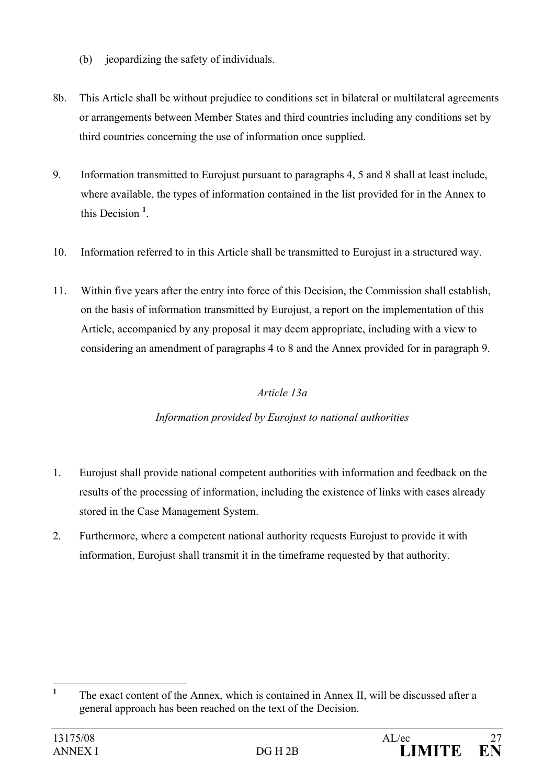- (b) ieopardizing the safety of individuals.
- 8b. This Article shall be without prejudice to conditions set in bilateral or multilateral agreements or arrangements between Member States and third countries including any conditions set by third countries concerning the use of information once supplied.
- 9. Information transmitted to Eurojust pursuant to paragraphs 4, 5 and 8 shall at least include, where available, the types of information contained in the list provided for in the Annex to this Decision **<sup>1</sup>** .
- 10. Information referred to in this Article shall be transmitted to Eurojust in a structured way.
- 11. Within five years after the entry into force of this Decision, the Commission shall establish, on the basis of information transmitted by Eurojust, a report on the implementation of this Article, accompanied by any proposal it may deem appropriate, including with a view to considering an amendment of paragraphs 4 to 8 and the Annex provided for in paragraph 9.

## *Article 13a*

## *Information provided by Eurojust to national authorities*

- 1. Eurojust shall provide national competent authorities with information and feedback on the results of the processing of information, including the existence of links with cases already stored in the Case Management System.
- 2. Furthermore, where a competent national authority requests Eurojust to provide it with information, Eurojust shall transmit it in the timeframe requested by that authority.

 **1** The exact content of the Annex, which is contained in Annex II, will be discussed after a general approach has been reached on the text of the Decision.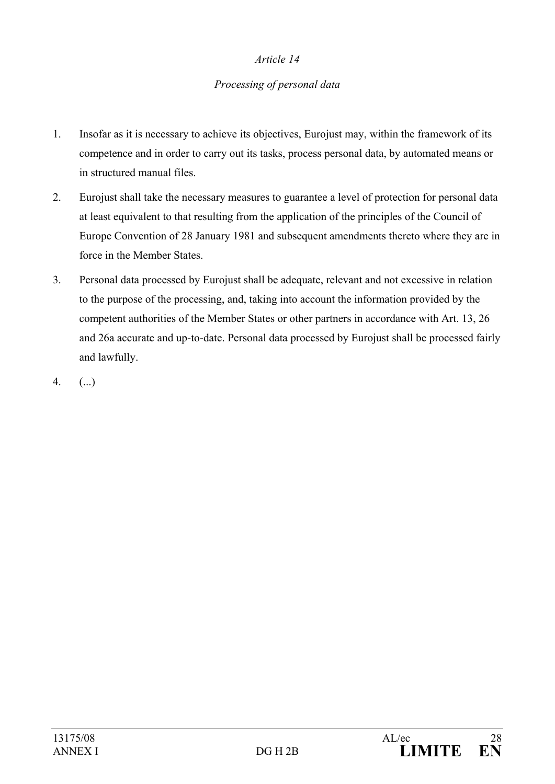#### *Processing of personal data*

- 1. Insofar as it is necessary to achieve its objectives, Eurojust may, within the framework of its competence and in order to carry out its tasks, process personal data, by automated means or in structured manual files.
- 2. Eurojust shall take the necessary measures to guarantee a level of protection for personal data at least equivalent to that resulting from the application of the principles of the Council of Europe Convention of 28 January 1981 and subsequent amendments thereto where they are in force in the Member States.
- 3. Personal data processed by Eurojust shall be adequate, relevant and not excessive in relation to the purpose of the processing, and, taking into account the information provided by the competent authorities of the Member States or other partners in accordance with Art. 13, 26 and 26a accurate and up-to-date. Personal data processed by Eurojust shall be processed fairly and lawfully.
- 4. (...)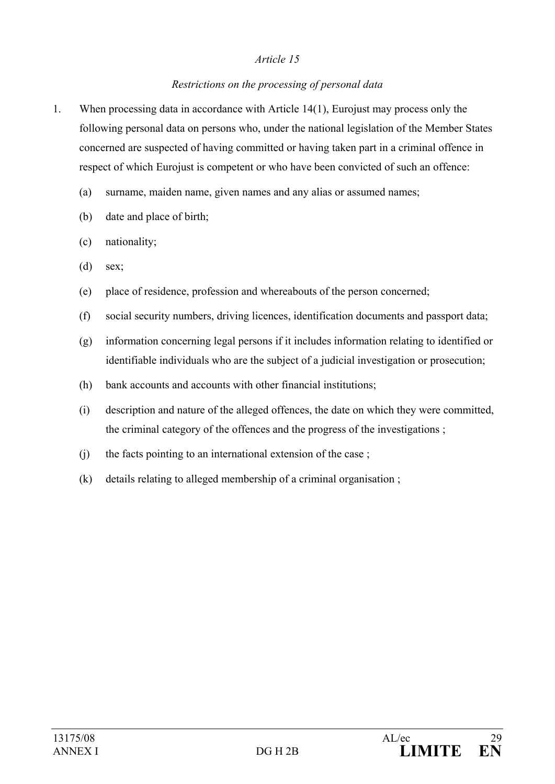## *Restrictions on the processing of personal data*

- 1. When processing data in accordance with Article 14(1), Eurojust may process only the following personal data on persons who, under the national legislation of the Member States concerned are suspected of having committed or having taken part in a criminal offence in respect of which Eurojust is competent or who have been convicted of such an offence:
	- (a) surname, maiden name, given names and any alias or assumed names;
	- (b) date and place of birth;
	- (c) nationality;
	- (d) sex;
	- (e) place of residence, profession and whereabouts of the person concerned;
	- (f) social security numbers, driving licences, identification documents and passport data;
	- (g) information concerning legal persons if it includes information relating to identified or identifiable individuals who are the subject of a judicial investigation or prosecution;
	- (h) bank accounts and accounts with other financial institutions;
	- (i) description and nature of the alleged offences, the date on which they were committed, the criminal category of the offences and the progress of the investigations ;
	- (j) the facts pointing to an international extension of the case ;
	- (k) details relating to alleged membership of a criminal organisation ;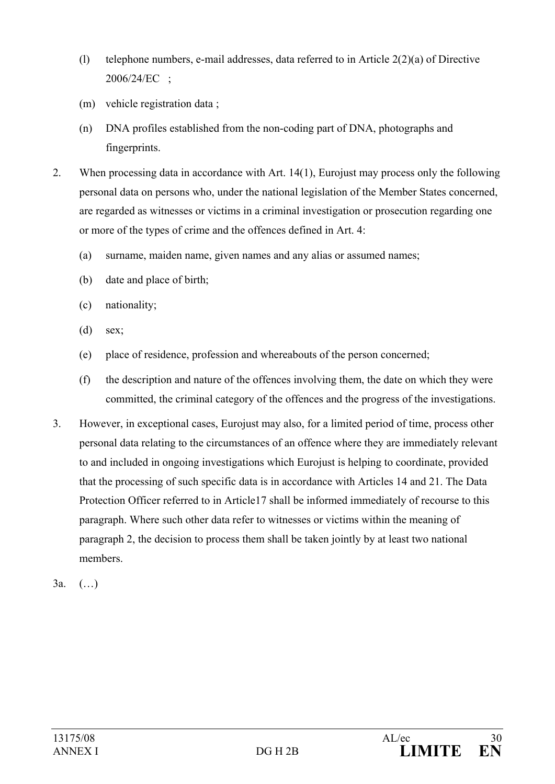- (l) telephone numbers, e-mail addresses, data referred to in Article 2(2)(a) of Directive 2006/24/EC ;
- (m) vehicle registration data ;
- (n) DNA profiles established from the non-coding part of DNA, photographs and fingerprints.
- 2. When processing data in accordance with Art. 14(1), Eurojust may process only the following personal data on persons who, under the national legislation of the Member States concerned, are regarded as witnesses or victims in a criminal investigation or prosecution regarding one or more of the types of crime and the offences defined in Art. 4:
	- (a) surname, maiden name, given names and any alias or assumed names;
	- (b) date and place of birth;
	- (c) nationality;
	- (d) sex;
	- (e) place of residence, profession and whereabouts of the person concerned;
	- (f) the description and nature of the offences involving them, the date on which they were committed, the criminal category of the offences and the progress of the investigations.
- 3. However, in exceptional cases, Eurojust may also, for a limited period of time, process other personal data relating to the circumstances of an offence where they are immediately relevant to and included in ongoing investigations which Eurojust is helping to coordinate, provided that the processing of such specific data is in accordance with Articles 14 and 21. The Data Protection Officer referred to in Article17 shall be informed immediately of recourse to this paragraph. Where such other data refer to witnesses or victims within the meaning of paragraph 2, the decision to process them shall be taken jointly by at least two national members.
- 3a. (…)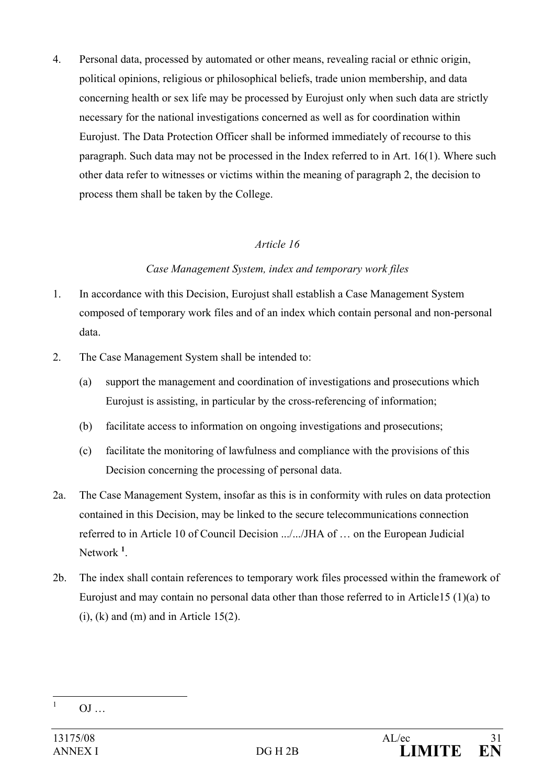4. Personal data, processed by automated or other means, revealing racial or ethnic origin, political opinions, religious or philosophical beliefs, trade union membership, and data concerning health or sex life may be processed by Eurojust only when such data are strictly necessary for the national investigations concerned as well as for coordination within Eurojust. The Data Protection Officer shall be informed immediately of recourse to this paragraph. Such data may not be processed in the Index referred to in Art. 16(1). Where such other data refer to witnesses or victims within the meaning of paragraph 2, the decision to process them shall be taken by the College.

## *Article 16*

#### *Case Management System, index and temporary work files*

- 1. In accordance with this Decision, Eurojust shall establish a Case Management System composed of temporary work files and of an index which contain personal and non-personal data.
- 2. The Case Management System shall be intended to:
	- (a) support the management and coordination of investigations and prosecutions which Eurojust is assisting, in particular by the cross-referencing of information;
	- (b) facilitate access to information on ongoing investigations and prosecutions;
	- (c) facilitate the monitoring of lawfulness and compliance with the provisions of this Decision concerning the processing of personal data.
- 2a. The Case Management System, insofar as this is in conformity with rules on data protection contained in this Decision, may be linked to the secure telecommunications connection referred to in Article 10 of Council Decision .../.../JHA of … on the European Judicial Network **<sup>1</sup>** .
- 2b. The index shall contain references to temporary work files processed within the framework of Eurojust and may contain no personal data other than those referred to in Article15 (1)(a) to  $(i)$ ,  $(k)$  and  $(m)$  and in Article 15(2).

 $\frac{1}{1}$  $OJ$  ...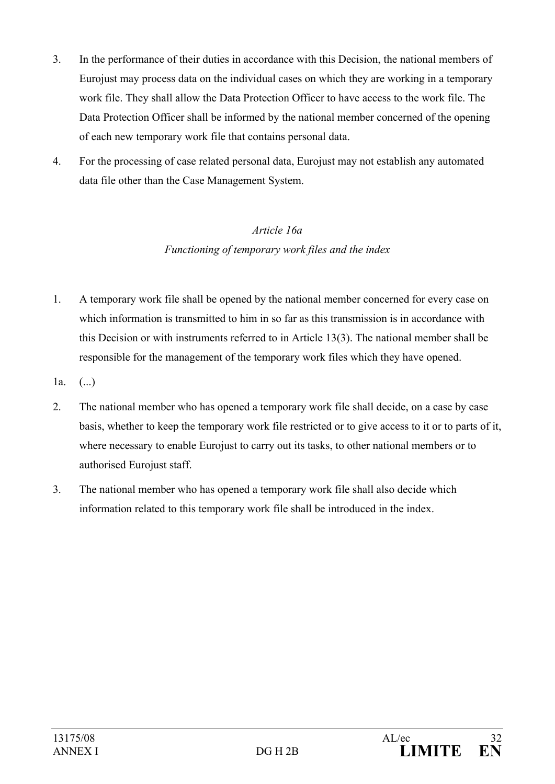- 3. In the performance of their duties in accordance with this Decision, the national members of Eurojust may process data on the individual cases on which they are working in a temporary work file. They shall allow the Data Protection Officer to have access to the work file. The Data Protection Officer shall be informed by the national member concerned of the opening of each new temporary work file that contains personal data.
- 4. For the processing of case related personal data, Eurojust may not establish any automated data file other than the Case Management System.

# *Article 16a Functioning of temporary work files and the index*

- 1. A temporary work file shall be opened by the national member concerned for every case on which information is transmitted to him in so far as this transmission is in accordance with this Decision or with instruments referred to in Article 13(3). The national member shall be responsible for the management of the temporary work files which they have opened.
- $1a.$  (...)
- 2. The national member who has opened a temporary work file shall decide, on a case by case basis, whether to keep the temporary work file restricted or to give access to it or to parts of it, where necessary to enable Eurojust to carry out its tasks, to other national members or to authorised Eurojust staff.
- 3. The national member who has opened a temporary work file shall also decide which information related to this temporary work file shall be introduced in the index.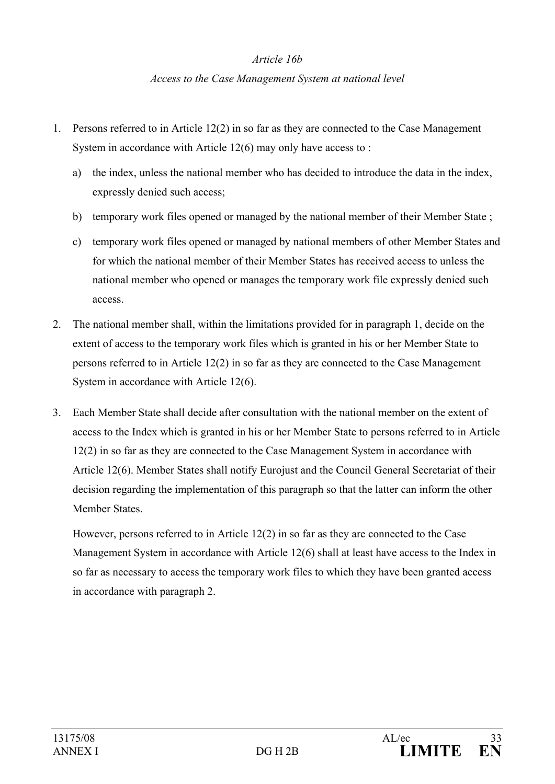#### *Article 16b*

#### *Access to the Case Management System at national level*

- 1. Persons referred to in Article 12(2) in so far as they are connected to the Case Management System in accordance with Article 12(6) may only have access to :
	- a) the index, unless the national member who has decided to introduce the data in the index, expressly denied such access;
	- b) temporary work files opened or managed by the national member of their Member State ;
	- c) temporary work files opened or managed by national members of other Member States and for which the national member of their Member States has received access to unless the national member who opened or manages the temporary work file expressly denied such access.
- 2. The national member shall, within the limitations provided for in paragraph 1, decide on the extent of access to the temporary work files which is granted in his or her Member State to persons referred to in Article 12(2) in so far as they are connected to the Case Management System in accordance with Article 12(6).
- 3. Each Member State shall decide after consultation with the national member on the extent of access to the Index which is granted in his or her Member State to persons referred to in Article 12(2) in so far as they are connected to the Case Management System in accordance with Article 12(6). Member States shall notify Eurojust and the Council General Secretariat of their decision regarding the implementation of this paragraph so that the latter can inform the other Member States.

However, persons referred to in Article 12(2) in so far as they are connected to the Case Management System in accordance with Article 12(6) shall at least have access to the Index in so far as necessary to access the temporary work files to which they have been granted access in accordance with paragraph 2.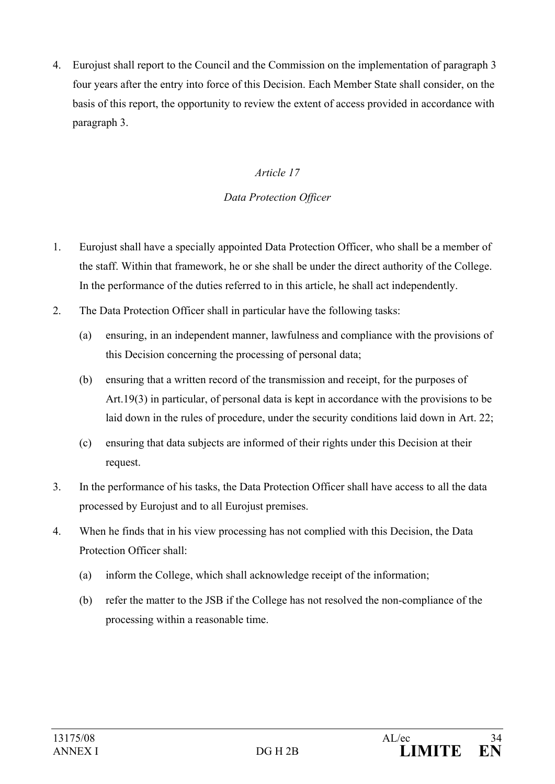4. Eurojust shall report to the Council and the Commission on the implementation of paragraph 3 four years after the entry into force of this Decision. Each Member State shall consider, on the basis of this report, the opportunity to review the extent of access provided in accordance with paragraph 3.

## *Article 17*

#### *Data Protection Officer*

- 1. Eurojust shall have a specially appointed Data Protection Officer, who shall be a member of the staff. Within that framework, he or she shall be under the direct authority of the College. In the performance of the duties referred to in this article, he shall act independently.
- 2. The Data Protection Officer shall in particular have the following tasks:
	- (a) ensuring, in an independent manner, lawfulness and compliance with the provisions of this Decision concerning the processing of personal data;
	- (b) ensuring that a written record of the transmission and receipt, for the purposes of Art.19(3) in particular, of personal data is kept in accordance with the provisions to be laid down in the rules of procedure, under the security conditions laid down in Art. 22;
	- (c) ensuring that data subjects are informed of their rights under this Decision at their request.
- 3. In the performance of his tasks, the Data Protection Officer shall have access to all the data processed by Eurojust and to all Eurojust premises.
- 4. When he finds that in his view processing has not complied with this Decision, the Data Protection Officer shall:
	- (a) inform the College, which shall acknowledge receipt of the information;
	- (b) refer the matter to the JSB if the College has not resolved the non-compliance of the processing within a reasonable time.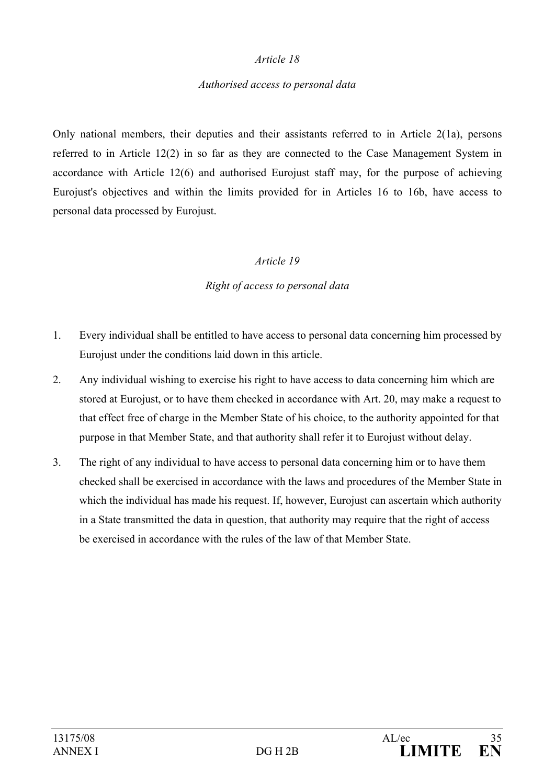#### *Authorised access to personal data*

Only national members, their deputies and their assistants referred to in Article 2(1a), persons referred to in Article 12(2) in so far as they are connected to the Case Management System in accordance with Article 12(6) and authorised Eurojust staff may, for the purpose of achieving Eurojust's objectives and within the limits provided for in Articles 16 to 16b, have access to personal data processed by Eurojust.

#### *Article 19*

#### *Right of access to personal data*

- 1. Every individual shall be entitled to have access to personal data concerning him processed by Eurojust under the conditions laid down in this article.
- 2. Any individual wishing to exercise his right to have access to data concerning him which are stored at Eurojust, or to have them checked in accordance with Art. 20, may make a request to that effect free of charge in the Member State of his choice, to the authority appointed for that purpose in that Member State, and that authority shall refer it to Eurojust without delay.
- 3. The right of any individual to have access to personal data concerning him or to have them checked shall be exercised in accordance with the laws and procedures of the Member State in which the individual has made his request. If, however, Eurojust can ascertain which authority in a State transmitted the data in question, that authority may require that the right of access be exercised in accordance with the rules of the law of that Member State.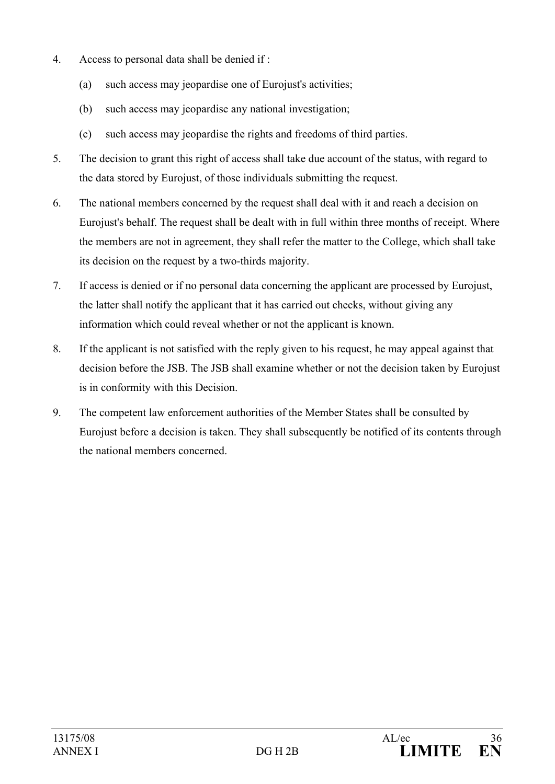- 4. Access to personal data shall be denied if :
	- (a) such access may jeopardise one of Eurojust's activities;
	- (b) such access may jeopardise any national investigation;
	- (c) such access may jeopardise the rights and freedoms of third parties.
- 5. The decision to grant this right of access shall take due account of the status, with regard to the data stored by Eurojust, of those individuals submitting the request.
- 6. The national members concerned by the request shall deal with it and reach a decision on Eurojust's behalf. The request shall be dealt with in full within three months of receipt. Where the members are not in agreement, they shall refer the matter to the College, which shall take its decision on the request by a two-thirds majority.
- 7. If access is denied or if no personal data concerning the applicant are processed by Eurojust, the latter shall notify the applicant that it has carried out checks, without giving any information which could reveal whether or not the applicant is known.
- 8. If the applicant is not satisfied with the reply given to his request, he may appeal against that decision before the JSB. The JSB shall examine whether or not the decision taken by Eurojust is in conformity with this Decision.
- 9. The competent law enforcement authorities of the Member States shall be consulted by Eurojust before a decision is taken. They shall subsequently be notified of its contents through the national members concerned.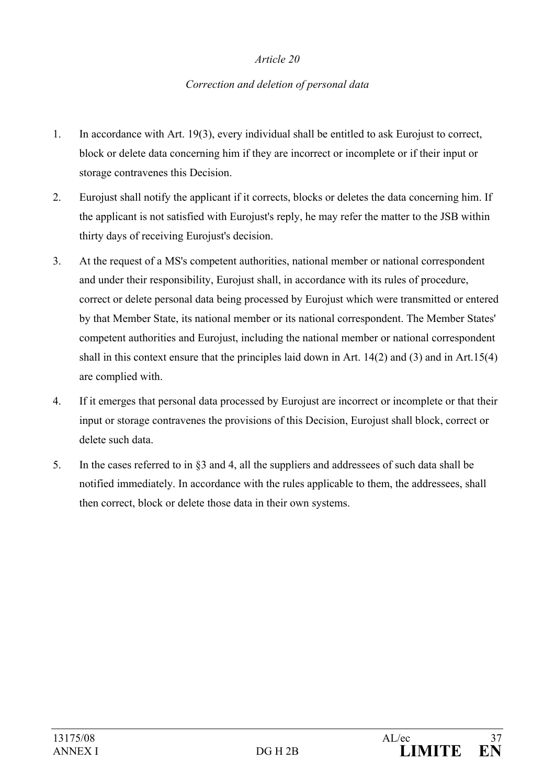#### *Correction and deletion of personal data*

- 1. In accordance with Art. 19(3), every individual shall be entitled to ask Eurojust to correct, block or delete data concerning him if they are incorrect or incomplete or if their input or storage contravenes this Decision.
- 2. Eurojust shall notify the applicant if it corrects, blocks or deletes the data concerning him. If the applicant is not satisfied with Eurojust's reply, he may refer the matter to the JSB within thirty days of receiving Eurojust's decision.
- 3. At the request of a MS's competent authorities, national member or national correspondent and under their responsibility, Eurojust shall, in accordance with its rules of procedure, correct or delete personal data being processed by Eurojust which were transmitted or entered by that Member State, its national member or its national correspondent. The Member States' competent authorities and Eurojust, including the national member or national correspondent shall in this context ensure that the principles laid down in Art. 14(2) and (3) and in Art.15(4) are complied with.
- 4. If it emerges that personal data processed by Eurojust are incorrect or incomplete or that their input or storage contravenes the provisions of this Decision, Eurojust shall block, correct or delete such data.
- 5. In the cases referred to in §3 and 4, all the suppliers and addressees of such data shall be notified immediately. In accordance with the rules applicable to them, the addressees, shall then correct, block or delete those data in their own systems.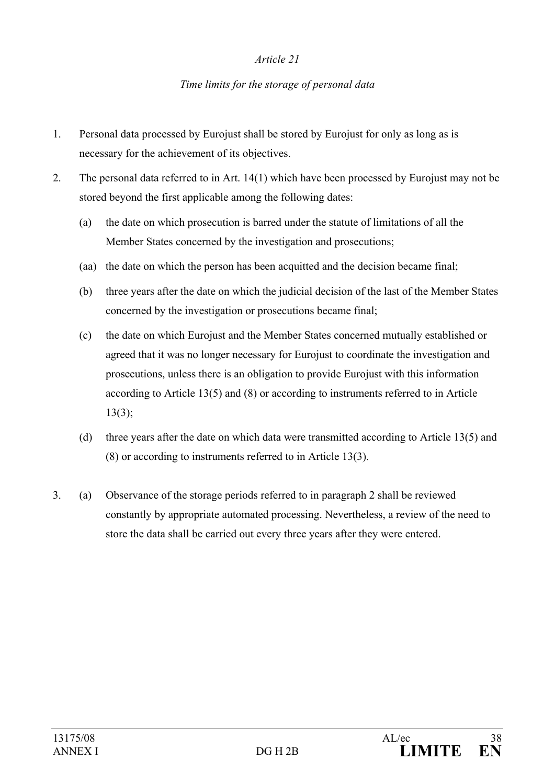#### *Time limits for the storage of personal data*

- 1. Personal data processed by Eurojust shall be stored by Eurojust for only as long as is necessary for the achievement of its objectives.
- 2. The personal data referred to in Art. 14(1) which have been processed by Eurojust may not be stored beyond the first applicable among the following dates:
	- (a) the date on which prosecution is barred under the statute of limitations of all the Member States concerned by the investigation and prosecutions;
	- (aa) the date on which the person has been acquitted and the decision became final;
	- (b) three years after the date on which the judicial decision of the last of the Member States concerned by the investigation or prosecutions became final;
	- (c) the date on which Eurojust and the Member States concerned mutually established or agreed that it was no longer necessary for Eurojust to coordinate the investigation and prosecutions, unless there is an obligation to provide Eurojust with this information according to Article 13(5) and (8) or according to instruments referred to in Article  $13(3)$ ;
	- (d) three years after the date on which data were transmitted according to Article 13(5) and (8) or according to instruments referred to in Article 13(3).
- 3. (a) Observance of the storage periods referred to in paragraph 2 shall be reviewed constantly by appropriate automated processing. Nevertheless, a review of the need to store the data shall be carried out every three years after they were entered.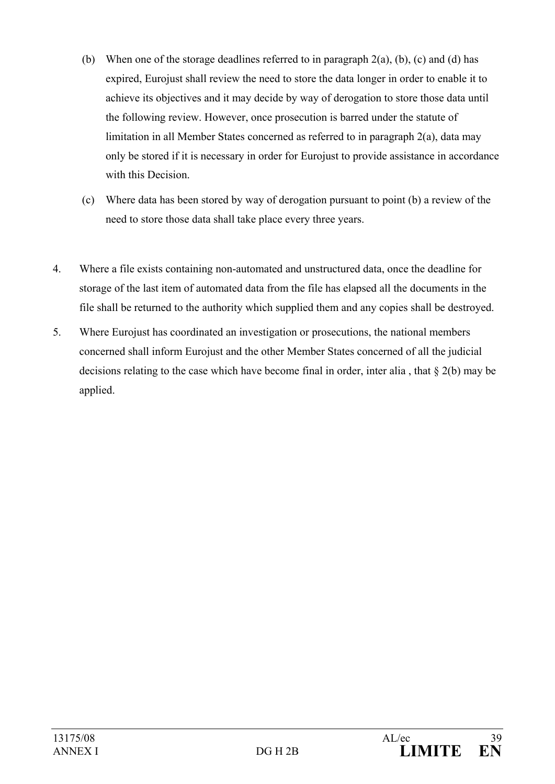- (b) When one of the storage deadlines referred to in paragraph  $2(a)$ , (b), (c) and (d) has expired, Eurojust shall review the need to store the data longer in order to enable it to achieve its objectives and it may decide by way of derogation to store those data until the following review. However, once prosecution is barred under the statute of limitation in all Member States concerned as referred to in paragraph 2(a), data may only be stored if it is necessary in order for Eurojust to provide assistance in accordance with this Decision.
- (c) Where data has been stored by way of derogation pursuant to point (b) a review of the need to store those data shall take place every three years.
- 4. Where a file exists containing non-automated and unstructured data, once the deadline for storage of the last item of automated data from the file has elapsed all the documents in the file shall be returned to the authority which supplied them and any copies shall be destroyed.
- 5. Where Eurojust has coordinated an investigation or prosecutions, the national members concerned shall inform Eurojust and the other Member States concerned of all the judicial decisions relating to the case which have become final in order, inter alia , that § 2(b) may be applied.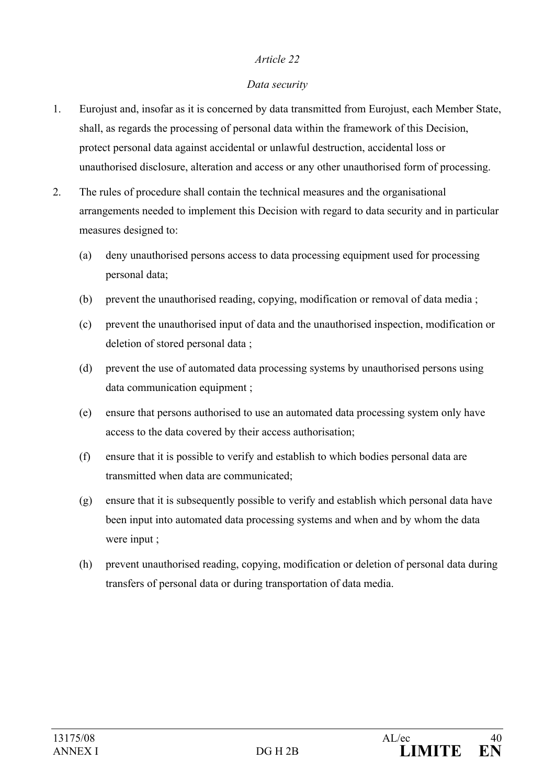#### *Data security*

- 1. Eurojust and, insofar as it is concerned by data transmitted from Eurojust, each Member State, shall, as regards the processing of personal data within the framework of this Decision, protect personal data against accidental or unlawful destruction, accidental loss or unauthorised disclosure, alteration and access or any other unauthorised form of processing.
- 2. The rules of procedure shall contain the technical measures and the organisational arrangements needed to implement this Decision with regard to data security and in particular measures designed to:
	- (a) deny unauthorised persons access to data processing equipment used for processing personal data;
	- (b) prevent the unauthorised reading, copying, modification or removal of data media ;
	- (c) prevent the unauthorised input of data and the unauthorised inspection, modification or deletion of stored personal data ;
	- (d) prevent the use of automated data processing systems by unauthorised persons using data communication equipment ;
	- (e) ensure that persons authorised to use an automated data processing system only have access to the data covered by their access authorisation;
	- (f) ensure that it is possible to verify and establish to which bodies personal data are transmitted when data are communicated;
	- (g) ensure that it is subsequently possible to verify and establish which personal data have been input into automated data processing systems and when and by whom the data were input ;
	- (h) prevent unauthorised reading, copying, modification or deletion of personal data during transfers of personal data or during transportation of data media.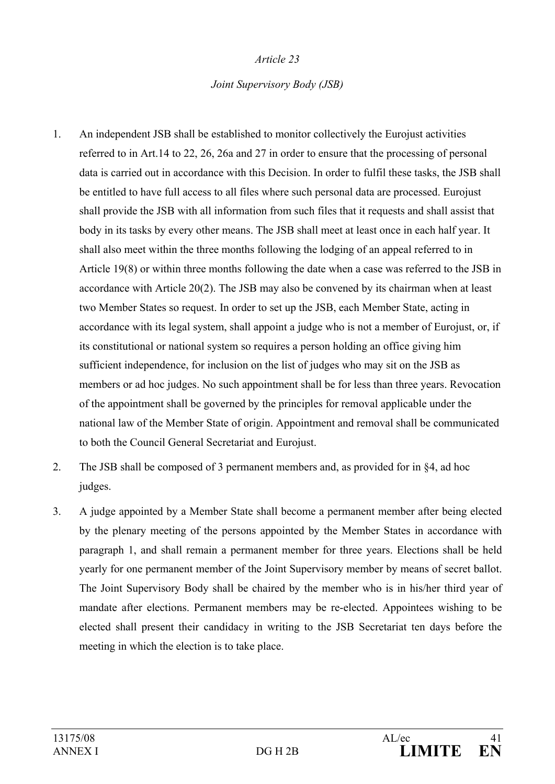#### *Joint Supervisory Body (JSB)*

- 1. An independent JSB shall be established to monitor collectively the Eurojust activities referred to in Art.14 to 22, 26, 26a and 27 in order to ensure that the processing of personal data is carried out in accordance with this Decision. In order to fulfil these tasks, the JSB shall be entitled to have full access to all files where such personal data are processed. Eurojust shall provide the JSB with all information from such files that it requests and shall assist that body in its tasks by every other means. The JSB shall meet at least once in each half year. It shall also meet within the three months following the lodging of an appeal referred to in Article 19(8) or within three months following the date when a case was referred to the JSB in accordance with Article 20(2). The JSB may also be convened by its chairman when at least two Member States so request. In order to set up the JSB, each Member State, acting in accordance with its legal system, shall appoint a judge who is not a member of Eurojust, or, if its constitutional or national system so requires a person holding an office giving him sufficient independence, for inclusion on the list of judges who may sit on the JSB as members or ad hoc judges. No such appointment shall be for less than three years. Revocation of the appointment shall be governed by the principles for removal applicable under the national law of the Member State of origin. Appointment and removal shall be communicated to both the Council General Secretariat and Eurojust.
- 2. The JSB shall be composed of 3 permanent members and, as provided for in §4, ad hoc judges.
- 3. A judge appointed by a Member State shall become a permanent member after being elected by the plenary meeting of the persons appointed by the Member States in accordance with paragraph 1, and shall remain a permanent member for three years. Elections shall be held yearly for one permanent member of the Joint Supervisory member by means of secret ballot. The Joint Supervisory Body shall be chaired by the member who is in his/her third year of mandate after elections. Permanent members may be re-elected. Appointees wishing to be elected shall present their candidacy in writing to the JSB Secretariat ten days before the meeting in which the election is to take place.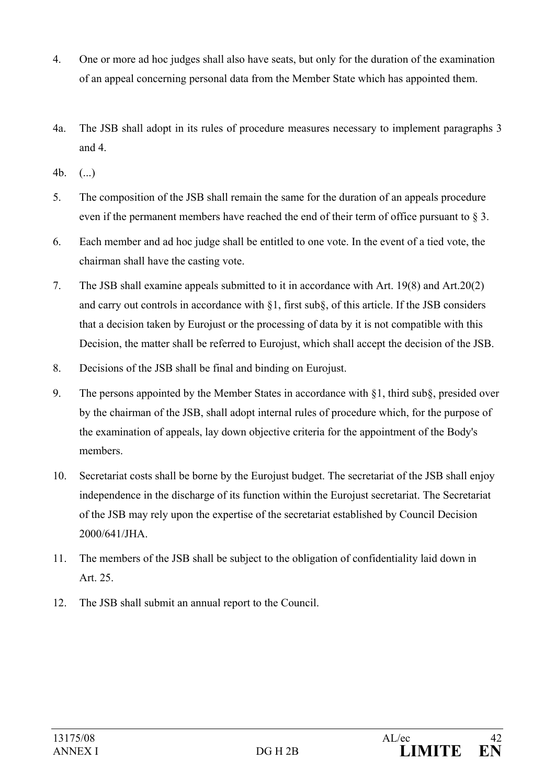- 4. One or more ad hoc judges shall also have seats, but only for the duration of the examination of an appeal concerning personal data from the Member State which has appointed them.
- 4a. The JSB shall adopt in its rules of procedure measures necessary to implement paragraphs 3 and 4.
- 4b. (...)
- 5. The composition of the JSB shall remain the same for the duration of an appeals procedure even if the permanent members have reached the end of their term of office pursuant to § 3.
- 6. Each member and ad hoc judge shall be entitled to one vote. In the event of a tied vote, the chairman shall have the casting vote.
- 7. The JSB shall examine appeals submitted to it in accordance with Art. 19(8) and Art.20(2) and carry out controls in accordance with §1, first sub§, of this article. If the JSB considers that a decision taken by Eurojust or the processing of data by it is not compatible with this Decision, the matter shall be referred to Eurojust, which shall accept the decision of the JSB.
- 8. Decisions of the JSB shall be final and binding on Eurojust.
- 9. The persons appointed by the Member States in accordance with §1, third sub§, presided over by the chairman of the JSB, shall adopt internal rules of procedure which, for the purpose of the examination of appeals, lay down objective criteria for the appointment of the Body's members.
- 10. Secretariat costs shall be borne by the Eurojust budget. The secretariat of the JSB shall enjoy independence in the discharge of its function within the Eurojust secretariat. The Secretariat of the JSB may rely upon the expertise of the secretariat established by Council Decision 2000/641/JHA.
- 11. The members of the JSB shall be subject to the obligation of confidentiality laid down in Art. 25.
- 12. The JSB shall submit an annual report to the Council.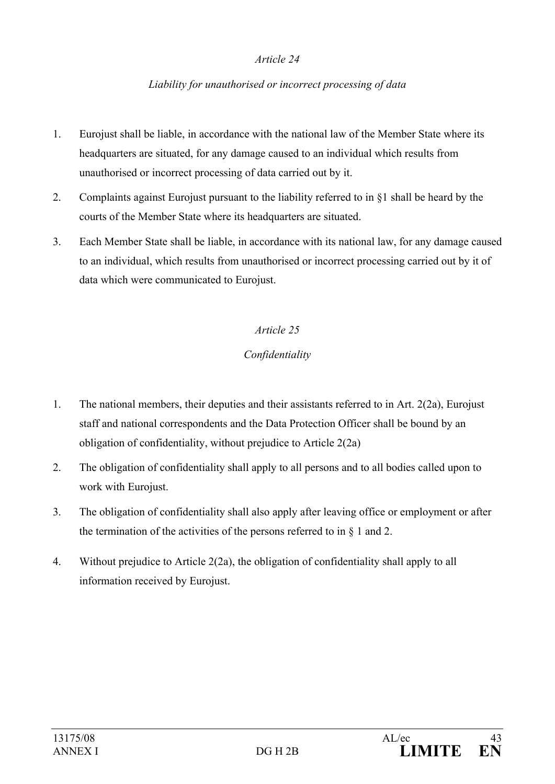#### *Liability for unauthorised or incorrect processing of data*

- 1. Eurojust shall be liable, in accordance with the national law of the Member State where its headquarters are situated, for any damage caused to an individual which results from unauthorised or incorrect processing of data carried out by it.
- 2. Complaints against Eurojust pursuant to the liability referred to in §1 shall be heard by the courts of the Member State where its headquarters are situated.
- 3. Each Member State shall be liable, in accordance with its national law, for any damage caused to an individual, which results from unauthorised or incorrect processing carried out by it of data which were communicated to Eurojust.

#### *Article 25*

## *Confidentiality*

- 1. The national members, their deputies and their assistants referred to in Art. 2(2a), Eurojust staff and national correspondents and the Data Protection Officer shall be bound by an obligation of confidentiality, without prejudice to Article 2(2a)
- 2. The obligation of confidentiality shall apply to all persons and to all bodies called upon to work with Eurojust.
- 3. The obligation of confidentiality shall also apply after leaving office or employment or after the termination of the activities of the persons referred to in  $\S$  1 and 2.
- 4. Without prejudice to Article 2(2a), the obligation of confidentiality shall apply to all information received by Eurojust.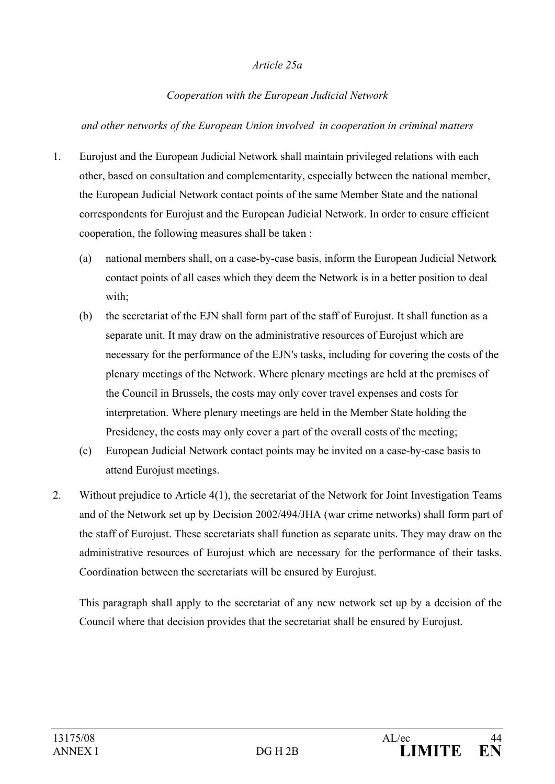#### *Article 25a*

#### *Cooperation with the European Judicial Network*

#### *and other networks of the European Union involved in cooperation in criminal matters*

- 1. Eurojust and the European Judicial Network shall maintain privileged relations with each other, based on consultation and complementarity, especially between the national member, the European Judicial Network contact points of the same Member State and the national correspondents for Eurojust and the European Judicial Network. In order to ensure efficient cooperation, the following measures shall be taken :
	- (a) national members shall, on a case-by-case basis, inform the European Judicial Network contact points of all cases which they deem the Network is in a better position to deal with;
	- (b) the secretariat of the EJN shall form part of the staff of Eurojust. It shall function as a separate unit. It may draw on the administrative resources of Eurojust which are necessary for the performance of the EJN's tasks, including for covering the costs of the plenary meetings of the Network. Where plenary meetings are held at the premises of the Council in Brussels, the costs may only cover travel expenses and costs for interpretation. Where plenary meetings are held in the Member State holding the Presidency, the costs may only cover a part of the overall costs of the meeting;
	- (c) European Judicial Network contact points may be invited on a case-by-case basis to attend Eurojust meetings.
- 2. Without prejudice to Article 4(1), the secretariat of the Network for Joint Investigation Teams and of the Network set up by Decision 2002/494/JHA (war crime networks) shall form part of the staff of Eurojust. These secretariats shall function as separate units. They may draw on the administrative resources of Eurojust which are necessary for the performance of their tasks. Coordination between the secretariats will be ensured by Eurojust.

This paragraph shall apply to the secretariat of any new network set up by a decision of the Council where that decision provides that the secretariat shall be ensured by Eurojust.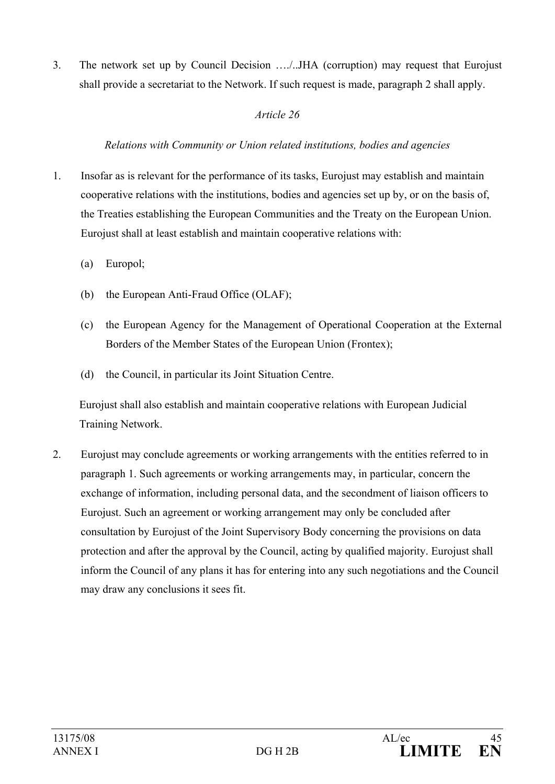3. The network set up by Council Decision …./..JHA (corruption) may request that Eurojust shall provide a secretariat to the Network. If such request is made, paragraph 2 shall apply.

### *Article 26*

## *Relations with Community or Union related institutions, bodies and agencies*

- 1. Insofar as is relevant for the performance of its tasks, Eurojust may establish and maintain cooperative relations with the institutions, bodies and agencies set up by, or on the basis of, the Treaties establishing the European Communities and the Treaty on the European Union. Eurojust shall at least establish and maintain cooperative relations with:
	- (a) Europol;
	- (b) the European Anti-Fraud Office (OLAF);
	- (c) the European Agency for the Management of Operational Cooperation at the External Borders of the Member States of the European Union (Frontex);
	- (d) the Council, in particular its Joint Situation Centre.

Eurojust shall also establish and maintain cooperative relations with European Judicial Training Network.

2. Eurojust may conclude agreements or working arrangements with the entities referred to in paragraph 1. Such agreements or working arrangements may, in particular, concern the exchange of information, including personal data, and the secondment of liaison officers to Eurojust. Such an agreement or working arrangement may only be concluded after consultation by Eurojust of the Joint Supervisory Body concerning the provisions on data protection and after the approval by the Council, acting by qualified majority. Eurojust shall inform the Council of any plans it has for entering into any such negotiations and the Council may draw any conclusions it sees fit.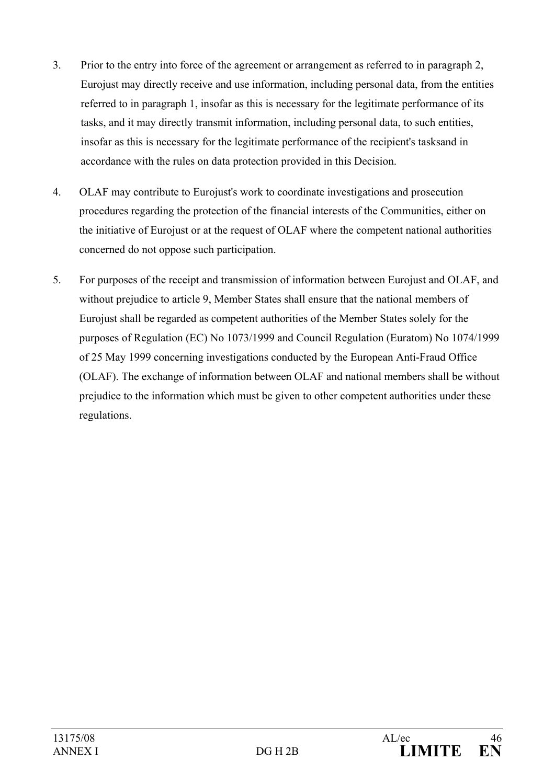- 3. Prior to the entry into force of the agreement or arrangement as referred to in paragraph 2, Eurojust may directly receive and use information, including personal data, from the entities referred to in paragraph 1, insofar as this is necessary for the legitimate performance of its tasks, and it may directly transmit information, including personal data, to such entities, insofar as this is necessary for the legitimate performance of the recipient's tasksand in accordance with the rules on data protection provided in this Decision.
- 4. OLAF may contribute to Eurojust's work to coordinate investigations and prosecution procedures regarding the protection of the financial interests of the Communities, either on the initiative of Eurojust or at the request of OLAF where the competent national authorities concerned do not oppose such participation.
- 5. For purposes of the receipt and transmission of information between Eurojust and OLAF, and without prejudice to article 9, Member States shall ensure that the national members of Eurojust shall be regarded as competent authorities of the Member States solely for the purposes of Regulation (EC) No 1073/1999 and Council Regulation (Euratom) No 1074/1999 of 25 May 1999 concerning investigations conducted by the European Anti-Fraud Office (OLAF). The exchange of information between OLAF and national members shall be without prejudice to the information which must be given to other competent authorities under these regulations.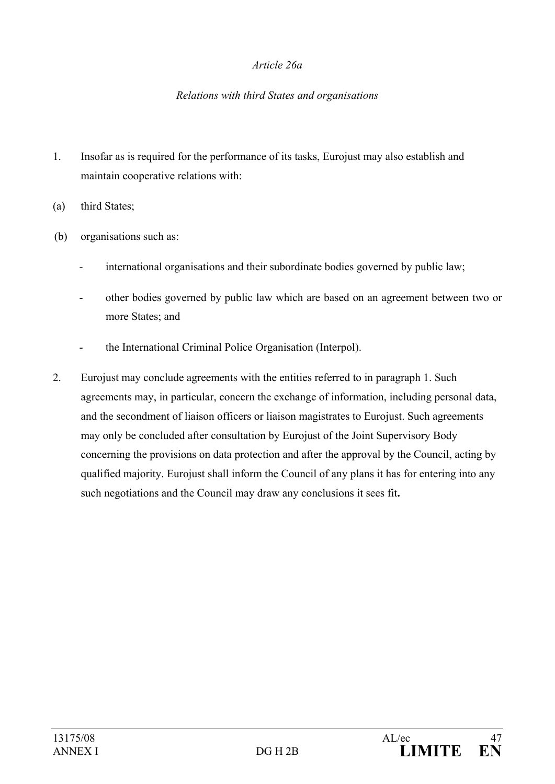#### *Article 26a*

#### *Relations with third States and organisations*

- 1. Insofar as is required for the performance of its tasks, Eurojust may also establish and maintain cooperative relations with:
- (a) third States;
- (b) organisations such as:
	- international organisations and their subordinate bodies governed by public law;
	- other bodies governed by public law which are based on an agreement between two or more States; and
	- the International Criminal Police Organisation (Interpol).
- 2. Eurojust may conclude agreements with the entities referred to in paragraph 1. Such agreements may, in particular, concern the exchange of information, including personal data, and the secondment of liaison officers or liaison magistrates to Eurojust. Such agreements may only be concluded after consultation by Eurojust of the Joint Supervisory Body concerning the provisions on data protection and after the approval by the Council, acting by qualified majority. Eurojust shall inform the Council of any plans it has for entering into any such negotiations and the Council may draw any conclusions it sees fit**.**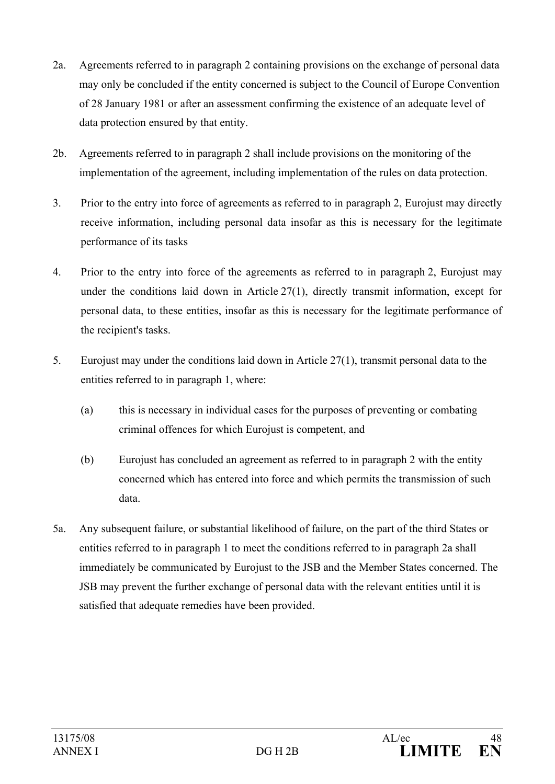- 2a. Agreements referred to in paragraph 2 containing provisions on the exchange of personal data may only be concluded if the entity concerned is subject to the Council of Europe Convention of 28 January 1981 or after an assessment confirming the existence of an adequate level of data protection ensured by that entity.
- 2b. Agreements referred to in paragraph 2 shall include provisions on the monitoring of the implementation of the agreement, including implementation of the rules on data protection.
- 3. Prior to the entry into force of agreements as referred to in paragraph 2, Eurojust may directly receive information, including personal data insofar as this is necessary for the legitimate performance of its tasks
- 4. Prior to the entry into force of the agreements as referred to in paragraph 2, Eurojust may under the conditions laid down in Article 27(1), directly transmit information, except for personal data, to these entities, insofar as this is necessary for the legitimate performance of the recipient's tasks.
- 5. Eurojust may under the conditions laid down in Article 27(1), transmit personal data to the entities referred to in paragraph 1, where:
	- (a) this is necessary in individual cases for the purposes of preventing or combating criminal offences for which Eurojust is competent, and
	- (b) Eurojust has concluded an agreement as referred to in paragraph 2 with the entity concerned which has entered into force and which permits the transmission of such data.
- 5a. Any subsequent failure, or substantial likelihood of failure, on the part of the third States or entities referred to in paragraph 1 to meet the conditions referred to in paragraph 2a shall immediately be communicated by Eurojust to the JSB and the Member States concerned. The JSB may prevent the further exchange of personal data with the relevant entities until it is satisfied that adequate remedies have been provided.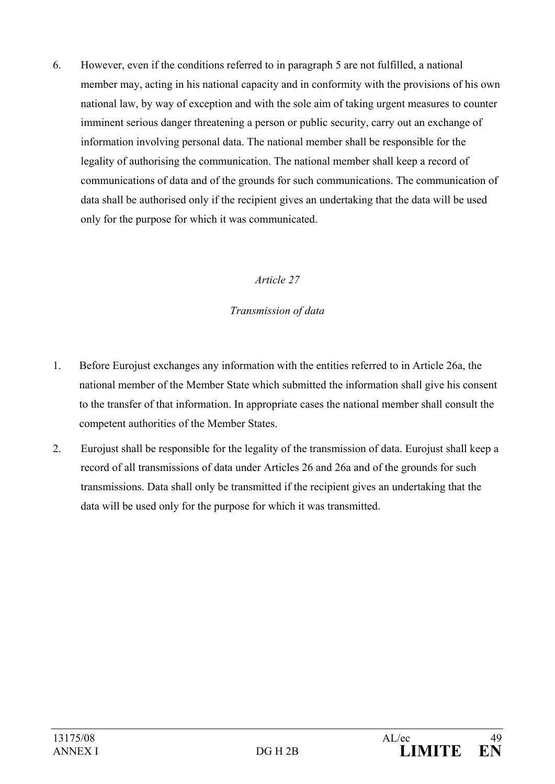6. However, even if the conditions referred to in paragraph 5 are not fulfilled, a national member may, acting in his national capacity and in conformity with the provisions of his own national law, by way of exception and with the sole aim of taking urgent measures to counter imminent serious danger threatening a person or public security, carry out an exchange of information involving personal data. The national member shall be responsible for the legality of authorising the communication. The national member shall keep a record of communications of data and of the grounds for such communications. The communication of data shall be authorised only if the recipient gives an undertaking that the data will be used only for the purpose for which it was communicated.

## *Article 27*

## *Transmission of data*

- 1. Before Eurojust exchanges any information with the entities referred to in Article 26a, the national member of the Member State which submitted the information shall give his consent to the transfer of that information. In appropriate cases the national member shall consult the competent authorities of the Member States.
- 2. Eurojust shall be responsible for the legality of the transmission of data. Eurojust shall keep a record of all transmissions of data under Articles 26 and 26a and of the grounds for such transmissions. Data shall only be transmitted if the recipient gives an undertaking that the data will be used only for the purpose for which it was transmitted.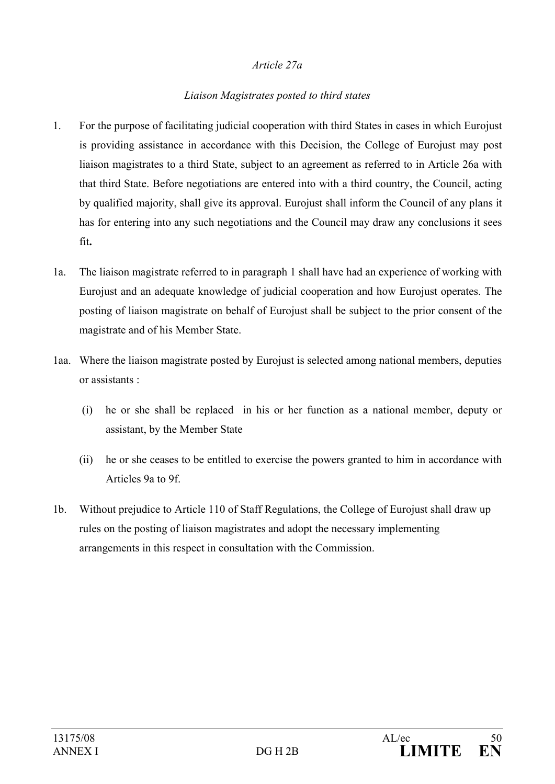#### *Article 27a*

### *Liaison Magistrates posted to third states*

- 1. For the purpose of facilitating judicial cooperation with third States in cases in which Eurojust is providing assistance in accordance with this Decision, the College of Eurojust may post liaison magistrates to a third State, subject to an agreement as referred to in Article 26a with that third State. Before negotiations are entered into with a third country, the Council, acting by qualified majority, shall give its approval. Eurojust shall inform the Council of any plans it has for entering into any such negotiations and the Council may draw any conclusions it sees fit**.**
- 1a. The liaison magistrate referred to in paragraph 1 shall have had an experience of working with Eurojust and an adequate knowledge of judicial cooperation and how Eurojust operates. The posting of liaison magistrate on behalf of Eurojust shall be subject to the prior consent of the magistrate and of his Member State.
- 1aa. Where the liaison magistrate posted by Eurojust is selected among national members, deputies or assistants :
	- (i) he or she shall be replaced in his or her function as a national member, deputy or assistant, by the Member State
	- (ii) he or she ceases to be entitled to exercise the powers granted to him in accordance with Articles 9a to 9f.
- 1b. Without prejudice to Article 110 of Staff Regulations, the College of Eurojust shall draw up rules on the posting of liaison magistrates and adopt the necessary implementing arrangements in this respect in consultation with the Commission.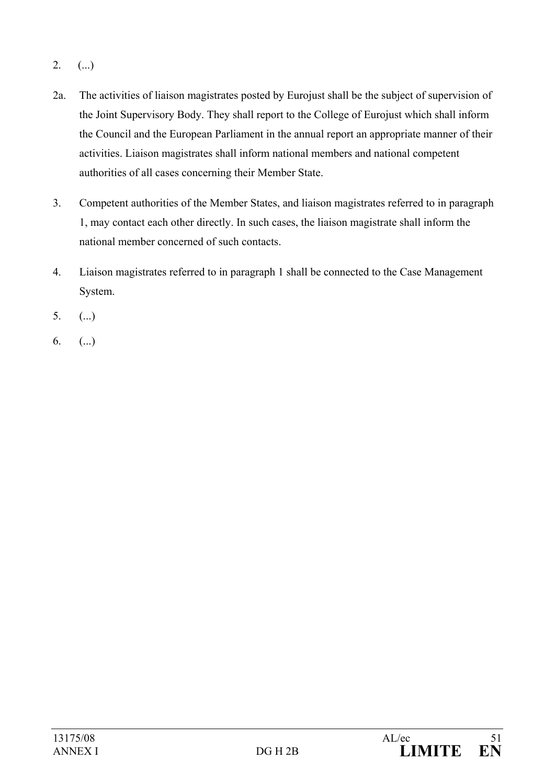- $2.$  (...)
- 2a. The activities of liaison magistrates posted by Eurojust shall be the subject of supervision of the Joint Supervisory Body. They shall report to the College of Eurojust which shall inform the Council and the European Parliament in the annual report an appropriate manner of their activities. Liaison magistrates shall inform national members and national competent authorities of all cases concerning their Member State.
- 3. Competent authorities of the Member States, and liaison magistrates referred to in paragraph 1, may contact each other directly. In such cases, the liaison magistrate shall inform the national member concerned of such contacts.
- 4. Liaison magistrates referred to in paragraph 1 shall be connected to the Case Management System.
- $5.$  (...)
- 6.  $(...)$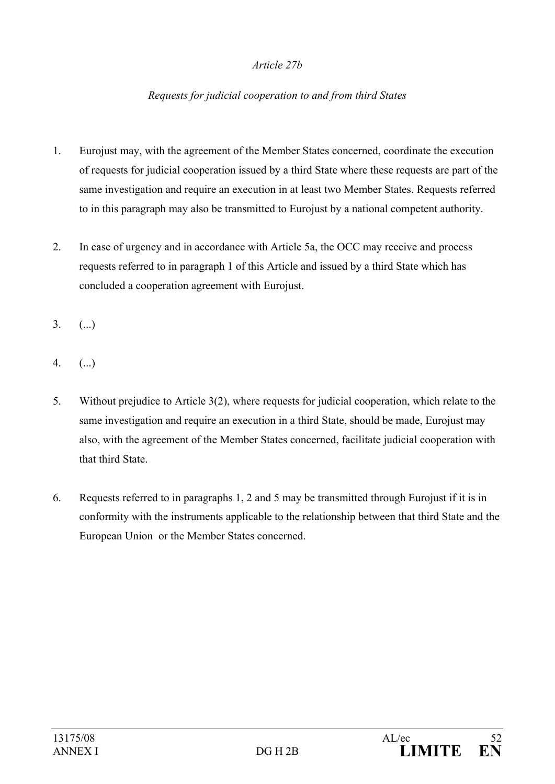#### *Article 27b*

### *Requests for judicial cooperation to and from third States*

- 1. Eurojust may, with the agreement of the Member States concerned, coordinate the execution of requests for judicial cooperation issued by a third State where these requests are part of the same investigation and require an execution in at least two Member States. Requests referred to in this paragraph may also be transmitted to Eurojust by a national competent authority.
- 2. In case of urgency and in accordance with Article 5a, the OCC may receive and process requests referred to in paragraph 1 of this Article and issued by a third State which has concluded a cooperation agreement with Eurojust.
- $3.$  (...)
- 4. (...)
- 5. Without prejudice to Article 3(2), where requests for judicial cooperation, which relate to the same investigation and require an execution in a third State, should be made, Eurojust may also, with the agreement of the Member States concerned, facilitate judicial cooperation with that third State.
- 6. Requests referred to in paragraphs 1, 2 and 5 may be transmitted through Eurojust if it is in conformity with the instruments applicable to the relationship between that third State and the European Union or the Member States concerned.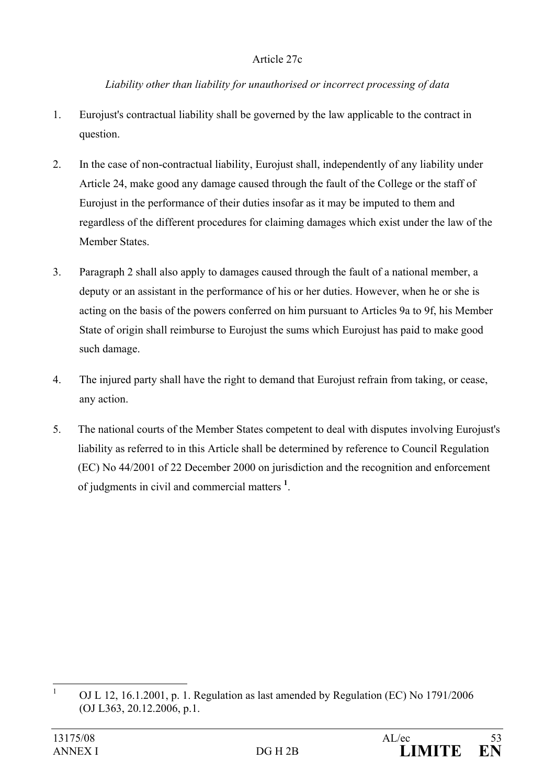#### Article 27c

#### *Liability other than liability for unauthorised or incorrect processing of data*

- 1. Eurojust's contractual liability shall be governed by the law applicable to the contract in question.
- 2. In the case of non-contractual liability, Eurojust shall, independently of any liability under Article 24, make good any damage caused through the fault of the College or the staff of Eurojust in the performance of their duties insofar as it may be imputed to them and regardless of the different procedures for claiming damages which exist under the law of the Member States.
- 3. Paragraph 2 shall also apply to damages caused through the fault of a national member, a deputy or an assistant in the performance of his or her duties. However, when he or she is acting on the basis of the powers conferred on him pursuant to Articles 9a to 9f, his Member State of origin shall reimburse to Eurojust the sums which Eurojust has paid to make good such damage.
- 4. The injured party shall have the right to demand that Eurojust refrain from taking, or cease, any action.
- 5. The national courts of the Member States competent to deal with disputes involving Eurojust's liability as referred to in this Article shall be determined by reference to Council Regulation (EC) No 44/2001 of 22 December 2000 on jurisdiction and the recognition and enforcement of judgments in civil and commercial matters **<sup>1</sup>** .

 $\frac{1}{1}$  OJ L 12, 16.1.2001, p. 1. Regulation as last amended by Regulation (EC) No 1791/2006 (OJ L363, 20.12.2006, p.1.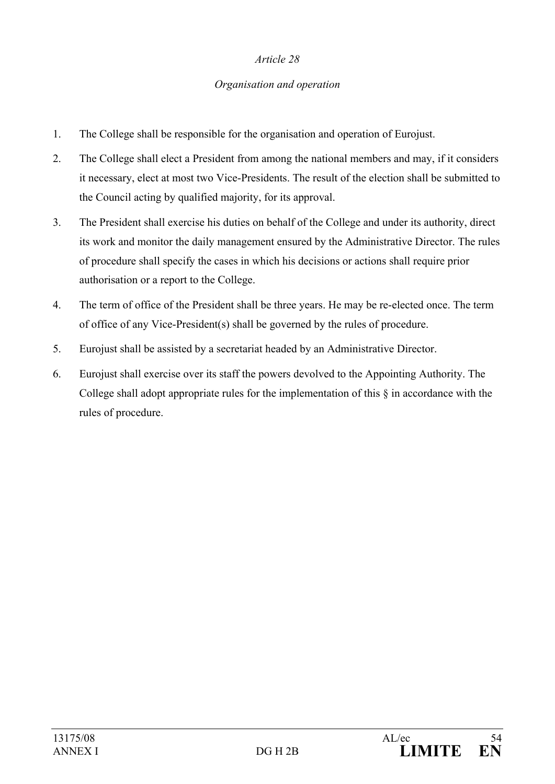#### *Organisation and operation*

- 1. The College shall be responsible for the organisation and operation of Eurojust.
- 2. The College shall elect a President from among the national members and may, if it considers it necessary, elect at most two Vice-Presidents. The result of the election shall be submitted to the Council acting by qualified majority, for its approval.
- 3. The President shall exercise his duties on behalf of the College and under its authority, direct its work and monitor the daily management ensured by the Administrative Director. The rules of procedure shall specify the cases in which his decisions or actions shall require prior authorisation or a report to the College.
- 4. The term of office of the President shall be three years. He may be re-elected once. The term of office of any Vice-President(s) shall be governed by the rules of procedure.
- 5. Eurojust shall be assisted by a secretariat headed by an Administrative Director.
- 6. Eurojust shall exercise over its staff the powers devolved to the Appointing Authority. The College shall adopt appropriate rules for the implementation of this § in accordance with the rules of procedure.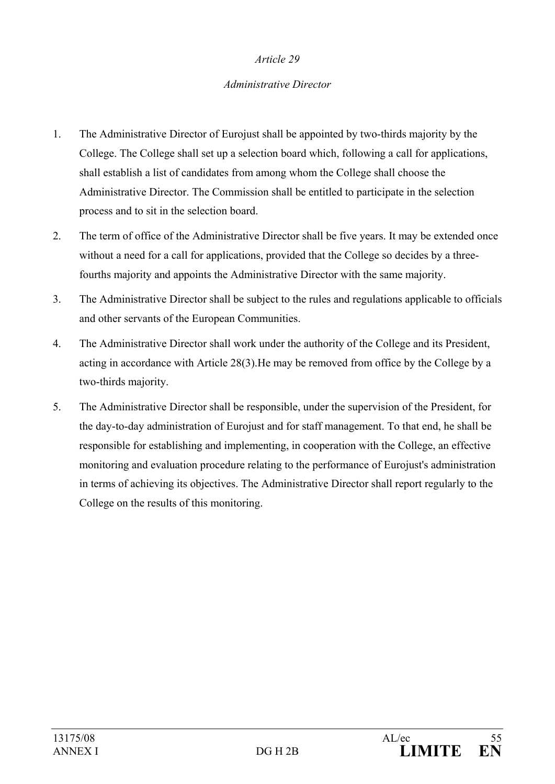#### *Administrative Director*

- 1. The Administrative Director of Eurojust shall be appointed by two-thirds majority by the College. The College shall set up a selection board which, following a call for applications, shall establish a list of candidates from among whom the College shall choose the Administrative Director. The Commission shall be entitled to participate in the selection process and to sit in the selection board.
- 2. The term of office of the Administrative Director shall be five years. It may be extended once without a need for a call for applications, provided that the College so decides by a threefourths majority and appoints the Administrative Director with the same majority.
- 3. The Administrative Director shall be subject to the rules and regulations applicable to officials and other servants of the European Communities.
- 4. The Administrative Director shall work under the authority of the College and its President, acting in accordance with Article 28(3).He may be removed from office by the College by a two-thirds majority.
- 5. The Administrative Director shall be responsible, under the supervision of the President, for the day-to-day administration of Eurojust and for staff management. To that end, he shall be responsible for establishing and implementing, in cooperation with the College, an effective monitoring and evaluation procedure relating to the performance of Eurojust's administration in terms of achieving its objectives. The Administrative Director shall report regularly to the College on the results of this monitoring.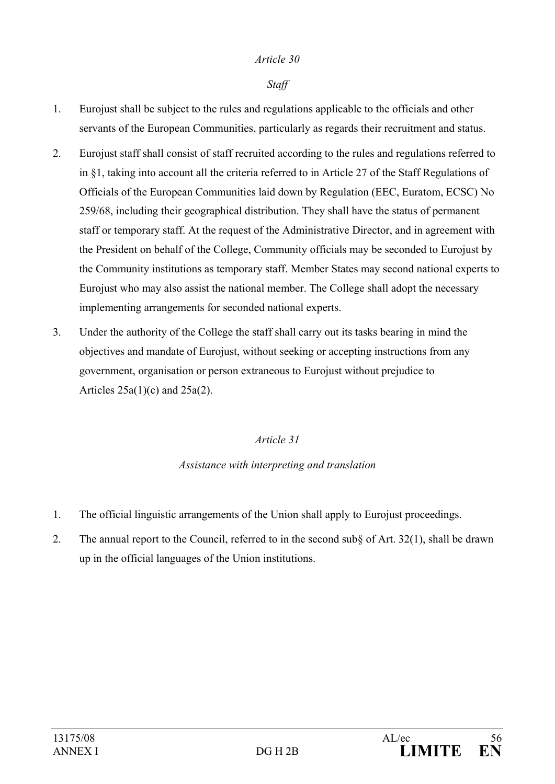#### *Staff*

- 1. Eurojust shall be subject to the rules and regulations applicable to the officials and other servants of the European Communities, particularly as regards their recruitment and status.
- 2. Eurojust staff shall consist of staff recruited according to the rules and regulations referred to in §1, taking into account all the criteria referred to in Article 27 of the Staff Regulations of Officials of the European Communities laid down by Regulation (EEC, Euratom, ECSC) No 259/68, including their geographical distribution. They shall have the status of permanent staff or temporary staff. At the request of the Administrative Director, and in agreement with the President on behalf of the College, Community officials may be seconded to Eurojust by the Community institutions as temporary staff. Member States may second national experts to Eurojust who may also assist the national member. The College shall adopt the necessary implementing arrangements for seconded national experts.
- 3. Under the authority of the College the staff shall carry out its tasks bearing in mind the objectives and mandate of Eurojust, without seeking or accepting instructions from any government, organisation or person extraneous to Eurojust without prejudice to Articles  $25a(1)(c)$  and  $25a(2)$ .

#### *Article 31*

#### *Assistance with interpreting and translation*

- 1. The official linguistic arrangements of the Union shall apply to Eurojust proceedings.
- 2. The annual report to the Council, referred to in the second sub§ of Art. 32(1), shall be drawn up in the official languages of the Union institutions.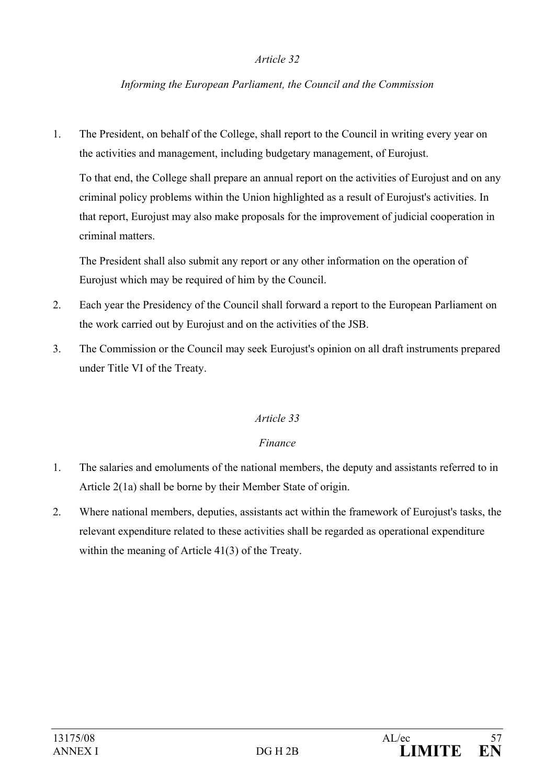#### *Informing the European Parliament, the Council and the Commission*

1. The President, on behalf of the College, shall report to the Council in writing every year on the activities and management, including budgetary management, of Eurojust.

To that end, the College shall prepare an annual report on the activities of Eurojust and on any criminal policy problems within the Union highlighted as a result of Eurojust's activities. In that report, Eurojust may also make proposals for the improvement of judicial cooperation in criminal matters.

 The President shall also submit any report or any other information on the operation of Eurojust which may be required of him by the Council.

- 2. Each year the Presidency of the Council shall forward a report to the European Parliament on the work carried out by Eurojust and on the activities of the JSB.
- 3. The Commission or the Council may seek Eurojust's opinion on all draft instruments prepared under Title VI of the Treaty.

#### *Article 33*

#### *Finance*

- 1. The salaries and emoluments of the national members, the deputy and assistants referred to in Article 2(1a) shall be borne by their Member State of origin.
- 2. Where national members, deputies, assistants act within the framework of Eurojust's tasks, the relevant expenditure related to these activities shall be regarded as operational expenditure within the meaning of Article 41(3) of the Treaty.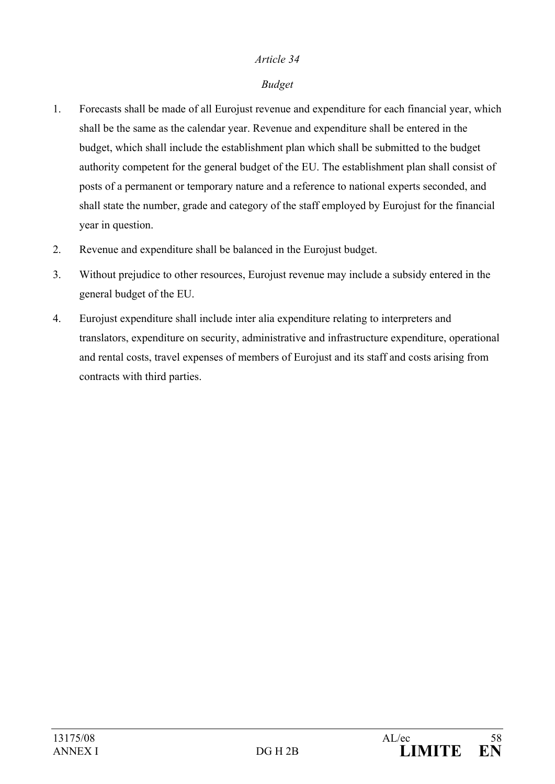#### *Budget*

- 1. Forecasts shall be made of all Eurojust revenue and expenditure for each financial year, which shall be the same as the calendar year. Revenue and expenditure shall be entered in the budget, which shall include the establishment plan which shall be submitted to the budget authority competent for the general budget of the EU. The establishment plan shall consist of posts of a permanent or temporary nature and a reference to national experts seconded, and shall state the number, grade and category of the staff employed by Eurojust for the financial year in question.
- 2. Revenue and expenditure shall be balanced in the Eurojust budget.
- 3. Without prejudice to other resources, Eurojust revenue may include a subsidy entered in the general budget of the EU.
- 4. Eurojust expenditure shall include inter alia expenditure relating to interpreters and translators, expenditure on security, administrative and infrastructure expenditure, operational and rental costs, travel expenses of members of Eurojust and its staff and costs arising from contracts with third parties.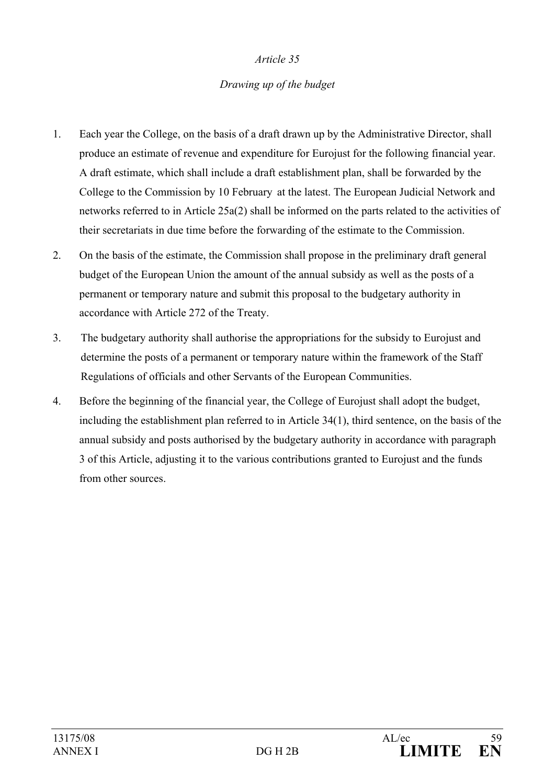### *Drawing up of the budget*

- 1. Each year the College, on the basis of a draft drawn up by the Administrative Director, shall produce an estimate of revenue and expenditure for Eurojust for the following financial year. A draft estimate, which shall include a draft establishment plan, shall be forwarded by the College to the Commission by 10 February at the latest. The European Judicial Network and networks referred to in Article 25a(2) shall be informed on the parts related to the activities of their secretariats in due time before the forwarding of the estimate to the Commission.
- 2. On the basis of the estimate, the Commission shall propose in the preliminary draft general budget of the European Union the amount of the annual subsidy as well as the posts of a permanent or temporary nature and submit this proposal to the budgetary authority in accordance with Article 272 of the Treaty.
- 3. The budgetary authority shall authorise the appropriations for the subsidy to Eurojust and determine the posts of a permanent or temporary nature within the framework of the Staff Regulations of officials and other Servants of the European Communities.
- 4. Before the beginning of the financial year, the College of Eurojust shall adopt the budget, including the establishment plan referred to in Article 34(1), third sentence, on the basis of the annual subsidy and posts authorised by the budgetary authority in accordance with paragraph 3 of this Article, adjusting it to the various contributions granted to Eurojust and the funds from other sources.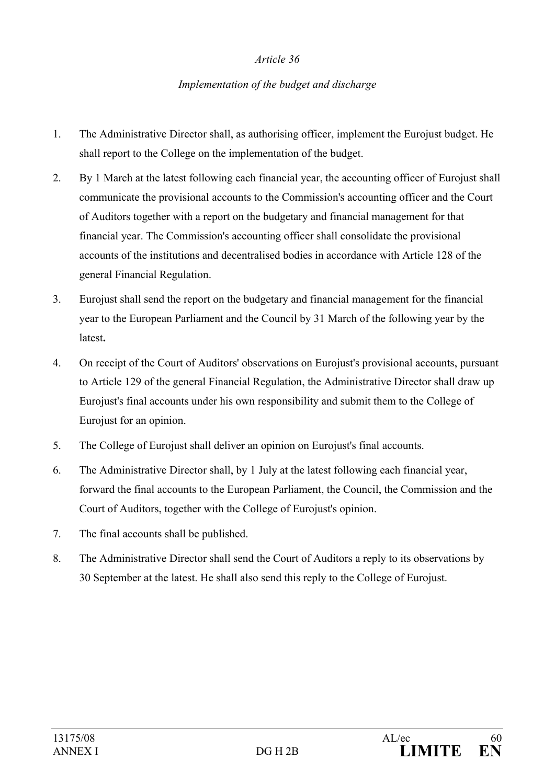#### *Implementation of the budget and discharge*

- 1. The Administrative Director shall, as authorising officer, implement the Eurojust budget. He shall report to the College on the implementation of the budget.
- 2. By 1 March at the latest following each financial year, the accounting officer of Eurojust shall communicate the provisional accounts to the Commission's accounting officer and the Court of Auditors together with a report on the budgetary and financial management for that financial year. The Commission's accounting officer shall consolidate the provisional accounts of the institutions and decentralised bodies in accordance with Article 128 of the general Financial Regulation.
- 3. Eurojust shall send the report on the budgetary and financial management for the financial year to the European Parliament and the Council by 31 March of the following year by the latest**.**
- 4. On receipt of the Court of Auditors' observations on Eurojust's provisional accounts, pursuant to Article 129 of the general Financial Regulation, the Administrative Director shall draw up Eurojust's final accounts under his own responsibility and submit them to the College of Eurojust for an opinion.
- 5. The College of Eurojust shall deliver an opinion on Eurojust's final accounts.
- 6. The Administrative Director shall, by 1 July at the latest following each financial year, forward the final accounts to the European Parliament, the Council, the Commission and the Court of Auditors, together with the College of Eurojust's opinion.
- 7. The final accounts shall be published.
- 8. The Administrative Director shall send the Court of Auditors a reply to its observations by 30 September at the latest. He shall also send this reply to the College of Eurojust.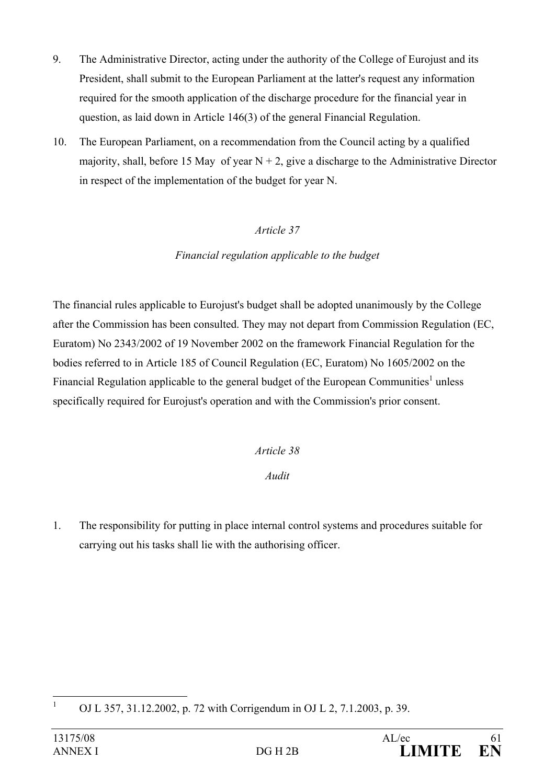- 9. The Administrative Director, acting under the authority of the College of Eurojust and its President, shall submit to the European Parliament at the latter's request any information required for the smooth application of the discharge procedure for the financial year in question, as laid down in Article 146(3) of the general Financial Regulation.
- 10. The European Parliament, on a recommendation from the Council acting by a qualified majority, shall, before 15 May of year  $N + 2$ , give a discharge to the Administrative Director in respect of the implementation of the budget for year N.

## *Financial regulation applicable to the budget*

The financial rules applicable to Eurojust's budget shall be adopted unanimously by the College after the Commission has been consulted. They may not depart from Commission Regulation (EC, Euratom) No 2343/2002 of 19 November 2002 on the framework Financial Regulation for the bodies referred to in Article 185 of Council Regulation (EC, Euratom) No 1605/2002 on the Financial Regulation applicable to the general budget of the European Communities<sup>1</sup> unless specifically required for Eurojust's operation and with the Commission's prior consent.

## *Article 38*

## *Audit*

1. The responsibility for putting in place internal control systems and procedures suitable for carrying out his tasks shall lie with the authorising officer.

 $\frac{1}{1}$ OJ L 357, 31.12.2002, p. 72 with Corrigendum in OJ L 2, 7.1.2003, p. 39.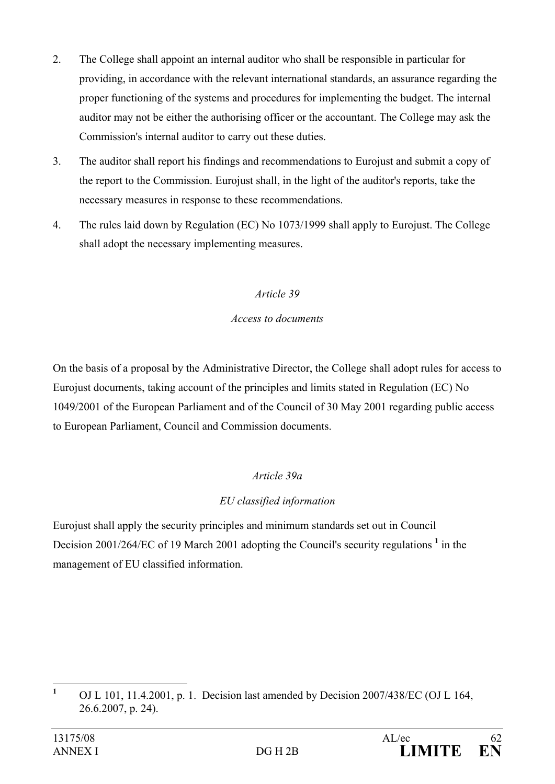- 2. The College shall appoint an internal auditor who shall be responsible in particular for providing, in accordance with the relevant international standards, an assurance regarding the proper functioning of the systems and procedures for implementing the budget. The internal auditor may not be either the authorising officer or the accountant. The College may ask the Commission's internal auditor to carry out these duties.
- 3. The auditor shall report his findings and recommendations to Eurojust and submit a copy of the report to the Commission. Eurojust shall, in the light of the auditor's reports, take the necessary measures in response to these recommendations.
- 4. The rules laid down by Regulation (EC) No 1073/1999 shall apply to Eurojust. The College shall adopt the necessary implementing measures.

## *Access to documents*

On the basis of a proposal by the Administrative Director, the College shall adopt rules for access to Eurojust documents, taking account of the principles and limits stated in Regulation (EC) No 1049/2001 of the European Parliament and of the Council of 30 May 2001 regarding public access to European Parliament, Council and Commission documents.

## *Article 39a*

## *EU classified information*

Eurojust shall apply the security principles and minimum standards set out in Council Decision 2001/264/EC of 19 March 2001 adopting the Council's security regulations <sup>1</sup> in the management of EU classified information.

 **1** OJ L 101, 11.4.2001, p. 1. Decision last amended by Decision 2007/438/EC (OJ L 164, 26.6.2007, p. 24).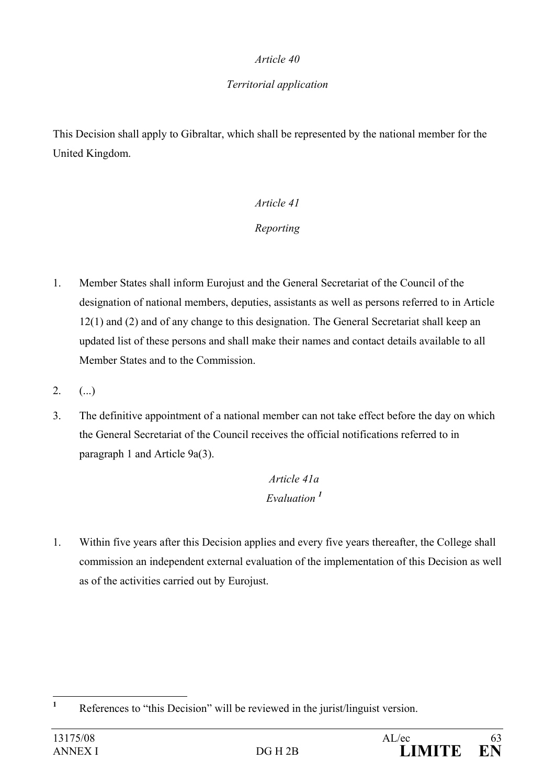## *Territorial application*

This Decision shall apply to Gibraltar, which shall be represented by the national member for the United Kingdom.

# *Article 41*

## *Reporting*

- 1. Member States shall inform Eurojust and the General Secretariat of the Council of the designation of national members, deputies, assistants as well as persons referred to in Article 12(1) and (2) and of any change to this designation. The General Secretariat shall keep an updated list of these persons and shall make their names and contact details available to all Member States and to the Commission.
- $2.$  (...)
- 3. The definitive appointment of a national member can not take effect before the day on which the General Secretariat of the Council receives the official notifications referred to in paragraph 1 and Article 9a(3).

# *Article 41a Evaluation <sup>1</sup>*

1. Within five years after this Decision applies and every five years thereafter, the College shall commission an independent external evaluation of the implementation of this Decision as well as of the activities carried out by Eurojust.

 **1** References to "this Decision" will be reviewed in the jurist/linguist version.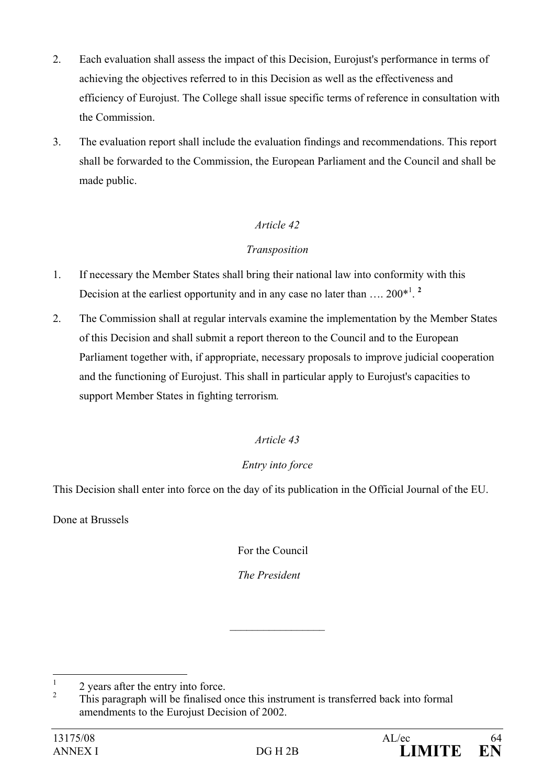- 2. Each evaluation shall assess the impact of this Decision, Eurojust's performance in terms of achieving the objectives referred to in this Decision as well as the effectiveness and efficiency of Eurojust. The College shall issue specific terms of reference in consultation with the Commission.
- 3. The evaluation report shall include the evaluation findings and recommendations. This report shall be forwarded to the Commission, the European Parliament and the Council and shall be made public.

## *Transposition*

- 1. If necessary the Member States shall bring their national law into conformity with this Decision at the earliest opportunity and in any case no later than  $\dots 200^{*1}$ .
- 2. The Commission shall at regular intervals examine the implementation by the Member States of this Decision and shall submit a report thereon to the Council and to the European Parliament together with, if appropriate, necessary proposals to improve judicial cooperation and the functioning of Eurojust. This shall in particular apply to Eurojust's capacities to support Member States in fighting terrorism*.*

## *Article 43*

## *Entry into force*

This Decision shall enter into force on the day of its publication in the Official Journal of the EU.

Done at Brussels

For the Council

 *The President* 

 $\frac{1}{2}$  ,  $\frac{1}{2}$  ,  $\frac{1}{2}$  ,  $\frac{1}{2}$  ,  $\frac{1}{2}$  ,  $\frac{1}{2}$  ,  $\frac{1}{2}$  ,  $\frac{1}{2}$ 

 $\frac{1}{1}$ 2 years after the entry into force.

 $\overline{2}$  This paragraph will be finalised once this instrument is transferred back into formal amendments to the Eurojust Decision of 2002.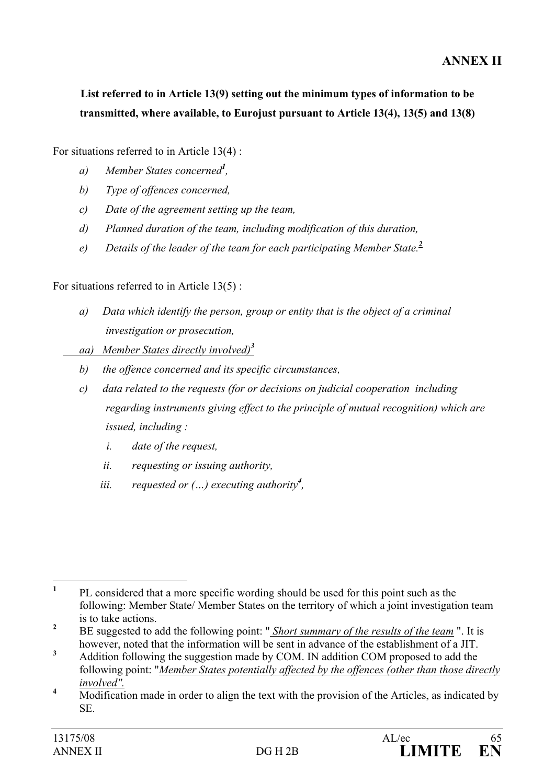# **List referred to in Article 13(9) setting out the minimum types of information to be transmitted, where available, to Eurojust pursuant to Article 13(4), 13(5) and 13(8)**

For situations referred to in Article 13(4) :

- *a) Member States concerned<sup>1</sup> ,*
- *b) Type of offences concerned,*
- *c) Date of the agreement setting up the team,*
- *d) Planned duration of the team, including modification of this duration,*
- *e) Details of the leader of the team for each participating Member State.<sup>2</sup>*

For situations referred to in Article 13(5) :

- *a) Data which identify the person, group or entity that is the object of a criminal investigation or prosecution,*
- *aa) Member States directly involved)<sup>3</sup>*
	- *b) the offence concerned and its specific circumstances,*
	- *c) data related to the requests (for or decisions on judicial cooperation including regarding instruments giving effect to the principle of mutual recognition) which are issued, including :* 
		- *i. date of the request,*
		- *ii. requesting or issuing authority,*
		- *iii. requested or (…) executing authority<sup>4</sup> ,*

 **1** PL considered that a more specific wording should be used for this point such as the following: Member State/ Member States on the territory of which a joint investigation team is to take actions.

**<sup>2</sup>** BE suggested to add the following point: " *Short summary of the results of the team* ". It is however, noted that the information will be sent in advance of the establishment of a JIT.

**<sup>3</sup>** Addition following the suggestion made by COM. IN addition COM proposed to add the following point: "*Member States potentially affected by the offences (other than those directly*   $\frac{involved''}{\sqrt{1 + \frac{1}{2}m^2}}$ 

Modification made in order to align the text with the provision of the Articles, as indicated by SE.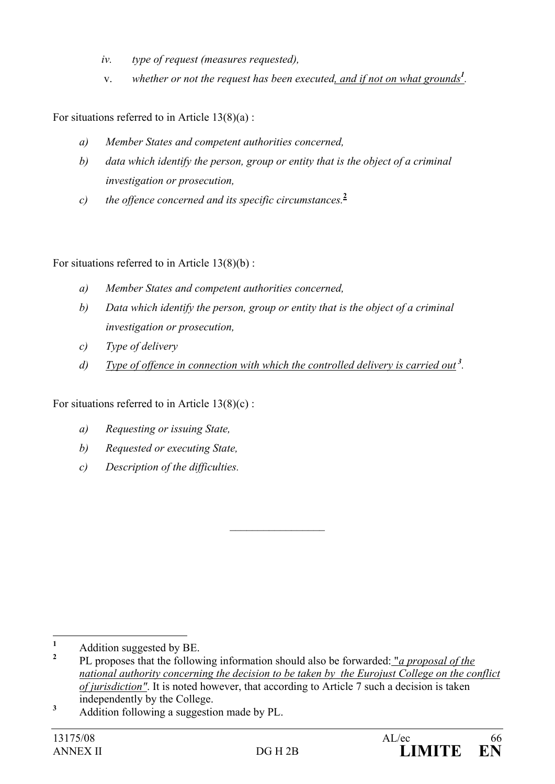- *iv. type of request (measures requested),*
- v. *whether or not the request has been executed, and if not on what grounds<sup>1</sup> .*

For situations referred to in Article  $13(8)(a)$ :

- *a) Member States and competent authorities concerned,*
- *b) data which identify the person, group or entity that is the object of a criminal investigation or prosecution,*
- *c) the offence concerned and its specific circumstances.***<sup>2</sup>**

For situations referred to in Article 13(8)(b) :

- *a) Member States and competent authorities concerned,*
- *b) Data which identify the person, group or entity that is the object of a criminal investigation or prosecution,*
- *c) Type of delivery*
- *d) Type of offence in connection with which the controlled delivery is carried out<sup>3</sup>.*

For situations referred to in Article  $13(8)(c)$ :

- *a) Requesting or issuing State,*
- *b) Requested or executing State,*
- *c) Description of the difficulties.*

 $\mathcal{L}_\text{max}$ 

**3** Addition following a suggestion made by PL.

 **1** Addition suggested by BE.

**<sup>2</sup>** PL proposes that the following information should also be forwarded: "*a proposal of the national authority concerning the decision to be taken by the Eurojust College on the conflict of jurisdiction"*. It is noted however, that according to Article 7 such a decision is taken independently by the College.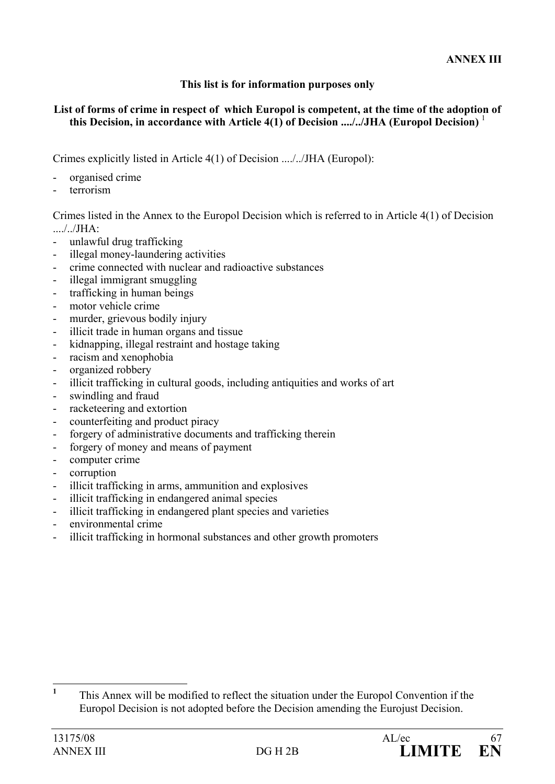#### **This list is for information purposes only**

#### **List of forms of crime in respect of which Europol is competent, at the time of the adoption of this Decision, in accordance with Article 4(1) of Decision ..../../JHA (Europol Decision)** <sup>1</sup>

Crimes explicitly listed in Article 4(1) of Decision ..../../JHA (Europol):

- organised crime
- terrorism

Crimes listed in the Annex to the Europol Decision which is referred to in Article 4(1) of Decision ..../../JHA:

- unlawful drug trafficking
- illegal money-laundering activities
- crime connected with nuclear and radioactive substances
- illegal immigrant smuggling
- trafficking in human beings
- motor vehicle crime
- murder, grievous bodily injury
- illicit trade in human organs and tissue
- kidnapping, illegal restraint and hostage taking
- racism and xenophobia
- organized robbery
- illicit trafficking in cultural goods, including antiquities and works of art
- swindling and fraud
- racketeering and extortion
- counterfeiting and product piracy
- forgery of administrative documents and trafficking therein
- forgery of money and means of payment
- computer crime
- corruption
- illicit trafficking in arms, ammunition and explosives
- illicit trafficking in endangered animal species
- illicit trafficking in endangered plant species and varieties
- environmental crime
- illicit trafficking in hormonal substances and other growth promoters

 **1** This Annex will be modified to reflect the situation under the Europol Convention if the Europol Decision is not adopted before the Decision amending the Eurojust Decision.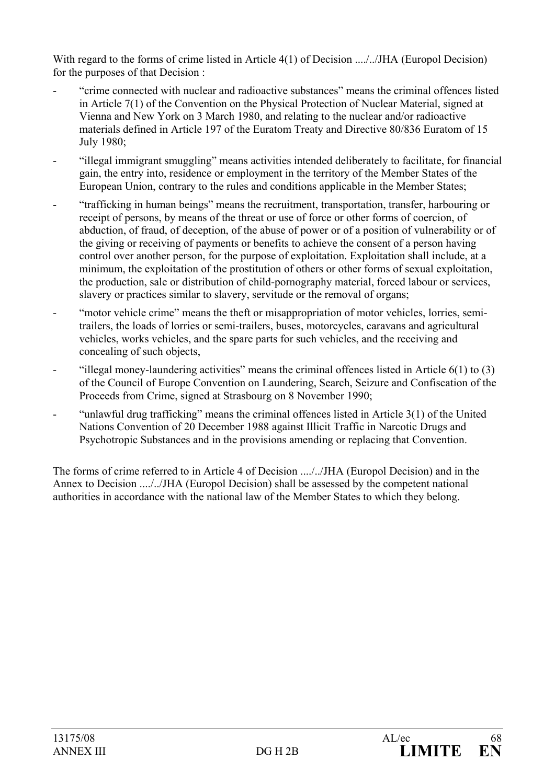With regard to the forms of crime listed in Article 4(1) of Decision ..../../JHA (Europol Decision) for the purposes of that Decision :

- "crime connected with nuclear and radioactive substances" means the criminal offences listed in Article 7(1) of the Convention on the Physical Protection of Nuclear Material, signed at Vienna and New York on 3 March 1980, and relating to the nuclear and/or radioactive materials defined in Article 197 of the Euratom Treaty and Directive 80/836 Euratom of 15 July 1980;
- "illegal immigrant smuggling" means activities intended deliberately to facilitate, for financial gain, the entry into, residence or employment in the territory of the Member States of the European Union, contrary to the rules and conditions applicable in the Member States;
- "trafficking in human beings" means the recruitment, transportation, transfer, harbouring or receipt of persons, by means of the threat or use of force or other forms of coercion, of abduction, of fraud, of deception, of the abuse of power or of a position of vulnerability or of the giving or receiving of payments or benefits to achieve the consent of a person having control over another person, for the purpose of exploitation. Exploitation shall include, at a minimum, the exploitation of the prostitution of others or other forms of sexual exploitation, the production, sale or distribution of child-pornography material, forced labour or services, slavery or practices similar to slavery, servitude or the removal of organs;
- "motor vehicle crime" means the theft or misappropriation of motor vehicles, lorries, semitrailers, the loads of lorries or semi-trailers, buses, motorcycles, caravans and agricultural vehicles, works vehicles, and the spare parts for such vehicles, and the receiving and concealing of such objects,
- "illegal money-laundering activities" means the criminal offences listed in Article 6(1) to (3) of the Council of Europe Convention on Laundering, Search, Seizure and Confiscation of the Proceeds from Crime, signed at Strasbourg on 8 November 1990;
- "unlawful drug trafficking" means the criminal offences listed in Article 3(1) of the United Nations Convention of 20 December 1988 against Illicit Traffic in Narcotic Drugs and Psychotropic Substances and in the provisions amending or replacing that Convention.

The forms of crime referred to in Article 4 of Decision ..../../JHA (Europol Decision) and in the Annex to Decision ..../../JHA (Europol Decision) shall be assessed by the competent national authorities in accordance with the national law of the Member States to which they belong.